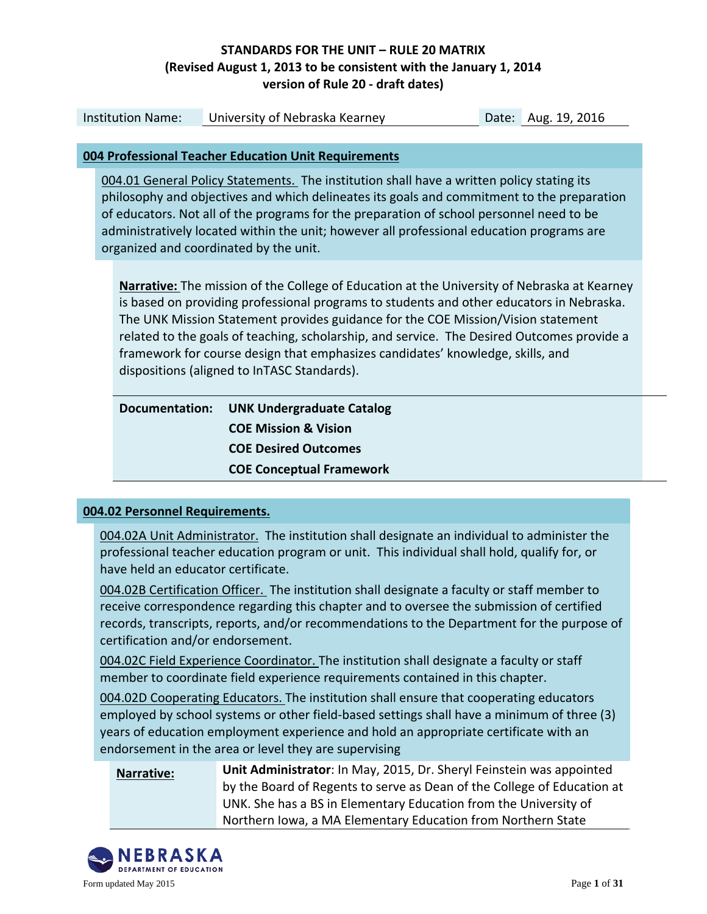| <b>Institution Name:</b>                                                                                                                                                                                                                                                                                                                                                                                                                                                                                          | University of Nebraska Kearney                                                                                                                                                                                                                                                                                                                                                                                             |  | Date: Aug. 19, 2016 |  |
|-------------------------------------------------------------------------------------------------------------------------------------------------------------------------------------------------------------------------------------------------------------------------------------------------------------------------------------------------------------------------------------------------------------------------------------------------------------------------------------------------------------------|----------------------------------------------------------------------------------------------------------------------------------------------------------------------------------------------------------------------------------------------------------------------------------------------------------------------------------------------------------------------------------------------------------------------------|--|---------------------|--|
|                                                                                                                                                                                                                                                                                                                                                                                                                                                                                                                   |                                                                                                                                                                                                                                                                                                                                                                                                                            |  |                     |  |
|                                                                                                                                                                                                                                                                                                                                                                                                                                                                                                                   | 004 Professional Teacher Education Unit Requirements                                                                                                                                                                                                                                                                                                                                                                       |  |                     |  |
|                                                                                                                                                                                                                                                                                                                                                                                                                                                                                                                   | 004.01 General Policy Statements. The institution shall have a written policy stating its<br>philosophy and objectives and which delineates its goals and commitment to the preparation<br>of educators. Not all of the programs for the preparation of school personnel need to be<br>administratively located within the unit; however all professional education programs are<br>organized and coordinated by the unit. |  |                     |  |
| <b>Narrative:</b> The mission of the College of Education at the University of Nebraska at Kearney<br>is based on providing professional programs to students and other educators in Nebraska.<br>The UNK Mission Statement provides guidance for the COE Mission/Vision statement<br>related to the goals of teaching, scholarship, and service. The Desired Outcomes provide a<br>framework for course design that emphasizes candidates' knowledge, skills, and<br>dispositions (aligned to InTASC Standards). |                                                                                                                                                                                                                                                                                                                                                                                                                            |  |                     |  |
| <b>Documentation:</b>                                                                                                                                                                                                                                                                                                                                                                                                                                                                                             | <b>UNK Undergraduate Catalog</b><br><b>COE Mission &amp; Vision</b><br><b>COE Desired Outcomes</b>                                                                                                                                                                                                                                                                                                                         |  |                     |  |
|                                                                                                                                                                                                                                                                                                                                                                                                                                                                                                                   | <b>COE Conceptual Framework</b>                                                                                                                                                                                                                                                                                                                                                                                            |  |                     |  |

#### **004.02 Personnel Requirements.**

004.02A Unit Administrator. The institution shall designate an individual to administer the professional teacher education program or unit. This individual shall hold, qualify for, or have held an educator certificate.

004.02B Certification Officer. The institution shall designate a faculty or staff member to receive correspondence regarding this chapter and to oversee the submission of certified records, transcripts, reports, and/or recommendations to the Department for the purpose of certification and/or endorsement.

004.02C Field Experience Coordinator. The institution shall designate a faculty or staff member to coordinate field experience requirements contained in this chapter.

004.02D Cooperating Educators. The institution shall ensure that cooperating educators employed by school systems or other field-based settings shall have a minimum of three (3) years of education employment experience and hold an appropriate certificate with an endorsement in the area or level they are supervising

**Narrative: Unit Administrator**: In May, 2015, Dr. Sheryl Feinstein was appointed by the Board of Regents to serve as Dean of the College of Education at UNK. She has a BS in Elementary Education from the University of Northern Iowa, a MA Elementary Education from Northern State

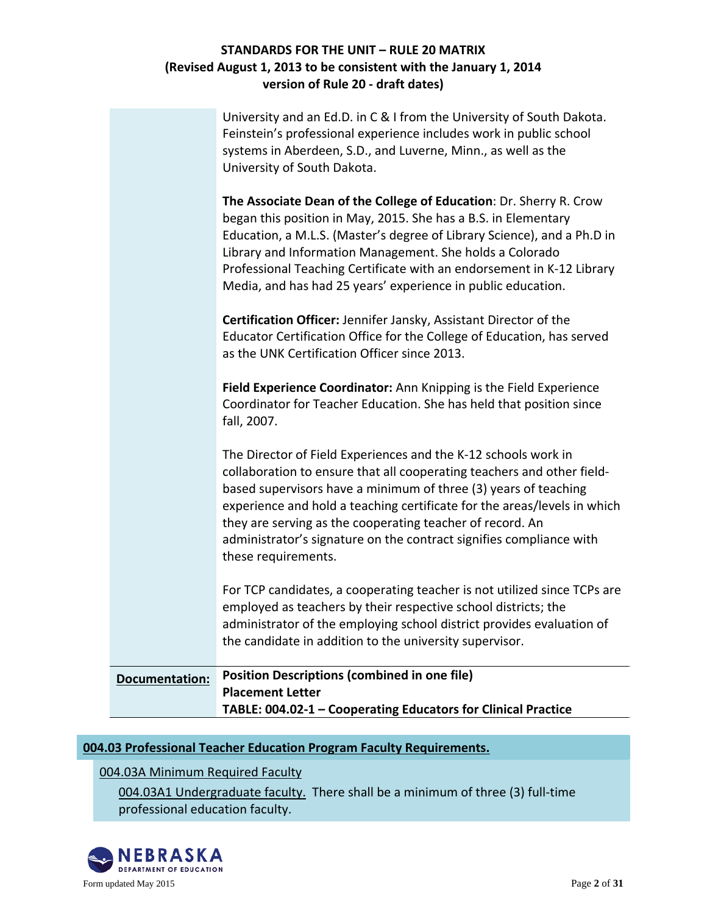|                       | University and an Ed.D. in C & I from the University of South Dakota.<br>Feinstein's professional experience includes work in public school<br>systems in Aberdeen, S.D., and Luverne, Minn., as well as the<br>University of South Dakota.                                                                                                                                                                                                        |
|-----------------------|----------------------------------------------------------------------------------------------------------------------------------------------------------------------------------------------------------------------------------------------------------------------------------------------------------------------------------------------------------------------------------------------------------------------------------------------------|
|                       | The Associate Dean of the College of Education: Dr. Sherry R. Crow<br>began this position in May, 2015. She has a B.S. in Elementary<br>Education, a M.L.S. (Master's degree of Library Science), and a Ph.D in<br>Library and Information Management. She holds a Colorado<br>Professional Teaching Certificate with an endorsement in K-12 Library<br>Media, and has had 25 years' experience in public education.                               |
|                       | Certification Officer: Jennifer Jansky, Assistant Director of the<br>Educator Certification Office for the College of Education, has served<br>as the UNK Certification Officer since 2013.                                                                                                                                                                                                                                                        |
|                       | Field Experience Coordinator: Ann Knipping is the Field Experience<br>Coordinator for Teacher Education. She has held that position since<br>fall, 2007.                                                                                                                                                                                                                                                                                           |
|                       | The Director of Field Experiences and the K-12 schools work in<br>collaboration to ensure that all cooperating teachers and other field-<br>based supervisors have a minimum of three (3) years of teaching<br>experience and hold a teaching certificate for the areas/levels in which<br>they are serving as the cooperating teacher of record. An<br>administrator's signature on the contract signifies compliance with<br>these requirements. |
|                       | For TCP candidates, a cooperating teacher is not utilized since TCPs are<br>employed as teachers by their respective school districts; the<br>administrator of the employing school district provides evaluation of<br>the candidate in addition to the university supervisor.                                                                                                                                                                     |
| <b>Documentation:</b> | <b>Position Descriptions (combined in one file)</b><br><b>Placement Letter</b><br>TABLE: 004.02-1 - Cooperating Educators for Clinical Practice                                                                                                                                                                                                                                                                                                    |

## **004.03 Professional Teacher Education Program Faculty Requirements.**

004.03A Minimum Required Faculty

004.03A1 Undergraduate faculty. There shall be a minimum of three (3) full-time professional education faculty.

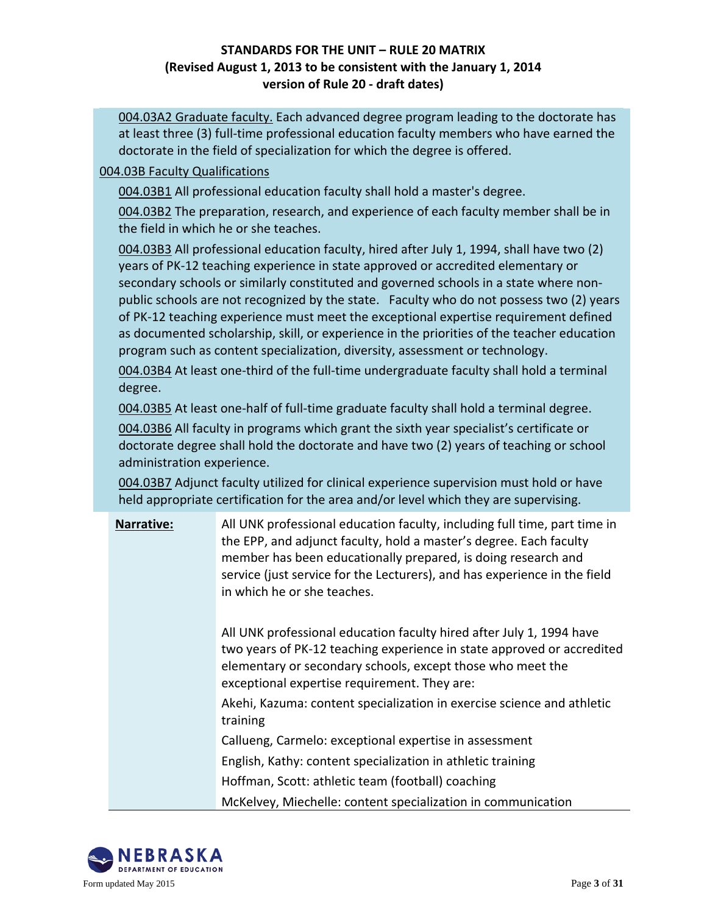004.03A2 Graduate faculty. Each advanced degree program leading to the doctorate has at least three (3) full-time professional education faculty members who have earned the doctorate in the field of specialization for which the degree is offered.

#### 004.03B Faculty Qualifications

004.03B1 All professional education faculty shall hold a master's degree.

004.03B2 The preparation, research, and experience of each faculty member shall be in the field in which he or she teaches.

004.03B3 All professional education faculty, hired after July 1, 1994, shall have two (2) years of PK-12 teaching experience in state approved or accredited elementary or secondary schools or similarly constituted and governed schools in a state where nonpublic schools are not recognized by the state. Faculty who do not possess two (2) years of PK-12 teaching experience must meet the exceptional expertise requirement defined as documented scholarship, skill, or experience in the priorities of the teacher education program such as content specialization, diversity, assessment or technology.

004.03B4 At least one-third of the full-time undergraduate faculty shall hold a terminal degree.

004.03B5 At least one-half of full-time graduate faculty shall hold a terminal degree.

004.03B6 All faculty in programs which grant the sixth year specialist's certificate or doctorate degree shall hold the doctorate and have two (2) years of teaching or school administration experience.

004.03B7 Adjunct faculty utilized for clinical experience supervision must hold or have held appropriate certification for the area and/or level which they are supervising.

| Narrative: | All UNK professional education faculty, including full time, part time in<br>the EPP, and adjunct faculty, hold a master's degree. Each faculty<br>member has been educationally prepared, is doing research and<br>service (just service for the Lecturers), and has experience in the field<br>in which he or she teaches. |
|------------|------------------------------------------------------------------------------------------------------------------------------------------------------------------------------------------------------------------------------------------------------------------------------------------------------------------------------|
|            | All UNK professional education faculty hired after July 1, 1994 have<br>two years of PK-12 teaching experience in state approved or accredited<br>elementary or secondary schools, except those who meet the<br>exceptional expertise requirement. They are:                                                                 |
|            | Akehi, Kazuma: content specialization in exercise science and athletic<br>training                                                                                                                                                                                                                                           |
|            | Callueng, Carmelo: exceptional expertise in assessment                                                                                                                                                                                                                                                                       |
|            | English, Kathy: content specialization in athletic training                                                                                                                                                                                                                                                                  |
|            | Hoffman, Scott: athletic team (football) coaching                                                                                                                                                                                                                                                                            |
|            | McKelvey, Miechelle: content specialization in communication                                                                                                                                                                                                                                                                 |

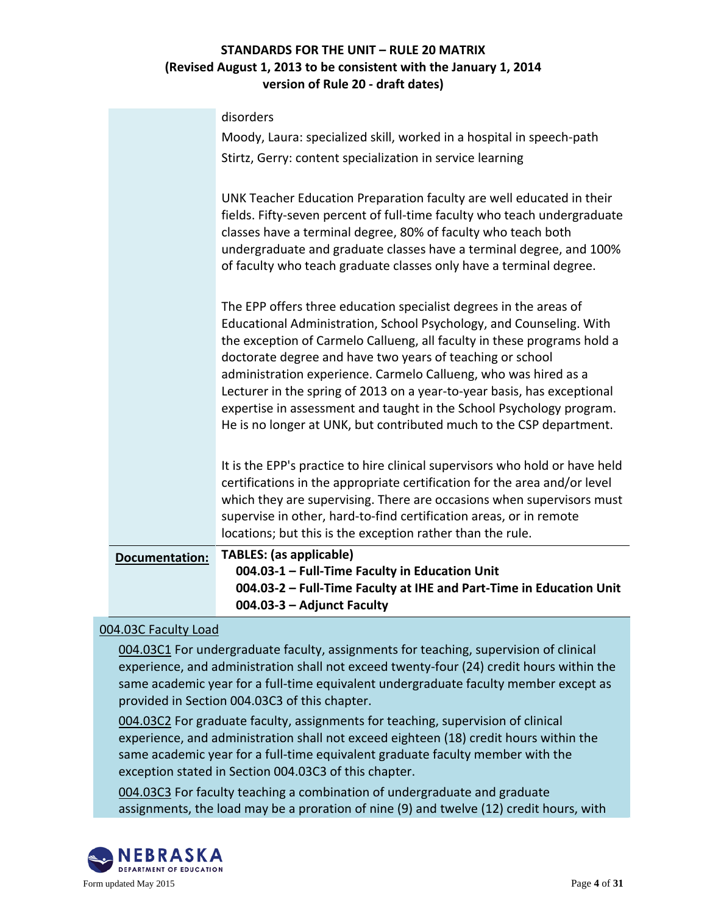|                | disorders                                                                                                                                                                                                                                                                                                                                                                                                                                                                                                                                                                     |
|----------------|-------------------------------------------------------------------------------------------------------------------------------------------------------------------------------------------------------------------------------------------------------------------------------------------------------------------------------------------------------------------------------------------------------------------------------------------------------------------------------------------------------------------------------------------------------------------------------|
|                | Moody, Laura: specialized skill, worked in a hospital in speech-path                                                                                                                                                                                                                                                                                                                                                                                                                                                                                                          |
|                | Stirtz, Gerry: content specialization in service learning                                                                                                                                                                                                                                                                                                                                                                                                                                                                                                                     |
|                | UNK Teacher Education Preparation faculty are well educated in their<br>fields. Fifty-seven percent of full-time faculty who teach undergraduate<br>classes have a terminal degree, 80% of faculty who teach both<br>undergraduate and graduate classes have a terminal degree, and 100%<br>of faculty who teach graduate classes only have a terminal degree.                                                                                                                                                                                                                |
|                | The EPP offers three education specialist degrees in the areas of<br>Educational Administration, School Psychology, and Counseling. With<br>the exception of Carmelo Callueng, all faculty in these programs hold a<br>doctorate degree and have two years of teaching or school<br>administration experience. Carmelo Callueng, who was hired as a<br>Lecturer in the spring of 2013 on a year-to-year basis, has exceptional<br>expertise in assessment and taught in the School Psychology program.<br>He is no longer at UNK, but contributed much to the CSP department. |
|                | It is the EPP's practice to hire clinical supervisors who hold or have held<br>certifications in the appropriate certification for the area and/or level<br>which they are supervising. There are occasions when supervisors must<br>supervise in other, hard-to-find certification areas, or in remote<br>locations; but this is the exception rather than the rule.                                                                                                                                                                                                         |
| Documentation: | <b>TABLES:</b> (as applicable)                                                                                                                                                                                                                                                                                                                                                                                                                                                                                                                                                |
|                | 004.03-1 - Full-Time Faculty in Education Unit                                                                                                                                                                                                                                                                                                                                                                                                                                                                                                                                |
|                | 004.03-2 - Full-Time Faculty at IHE and Part-Time in Education Unit<br>004.03-3 - Adjunct Faculty                                                                                                                                                                                                                                                                                                                                                                                                                                                                             |
|                |                                                                                                                                                                                                                                                                                                                                                                                                                                                                                                                                                                               |

## 004.03C Faculty Load

004.03C1 For undergraduate faculty, assignments for teaching, supervision of clinical experience, and administration shall not exceed twenty-four (24) credit hours within the same academic year for a full-time equivalent undergraduate faculty member except as provided in Section 004.03C3 of this chapter.

004.03C2 For graduate faculty, assignments for teaching, supervision of clinical experience, and administration shall not exceed eighteen (18) credit hours within the same academic year for a full-time equivalent graduate faculty member with the exception stated in Section 004.03C3 of this chapter.

004.03C3 For faculty teaching a combination of undergraduate and graduate assignments, the load may be a proration of nine (9) and twelve (12) credit hours, with

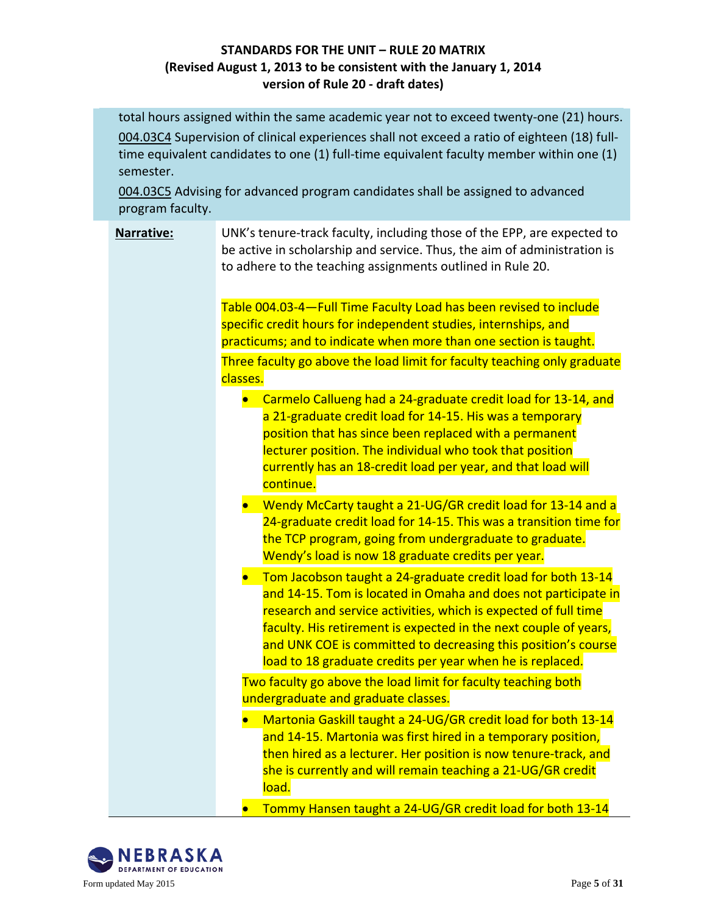total hours assigned within the same academic year not to exceed twenty-one (21) hours. 004.03C4 Supervision of clinical experiences shall not exceed a ratio of eighteen (18) fulltime equivalent candidates to one (1) full-time equivalent faculty member within one (1) semester.

004.03C5 Advising for advanced program candidates shall be assigned to advanced program faculty.

# **Narrative:** UNK's tenure-track faculty, including those of the EPP, are expected to be active in scholarship and service. Thus, the aim of administration is to adhere to the teaching assignments outlined in Rule 20. Table 004.03-4—Full Time Faculty Load has been revised to include specific credit hours for independent studies, internships, and practicums; and to indicate when more than one section is taught. Three faculty go above the load limit for faculty teaching only graduate classes. • Carmelo Callueng had a 24-graduate credit load for 13-14, and a 21-graduate credit load for 14-15. His was a temporary position that has since been replaced with a permanent lecturer position. The individual who took that position currently has an 18-credit load per year, and that load will continue. • Wendy McCarty taught a 21-UG/GR credit load for 13-14 and a 24-graduate credit load for 14-15. This was a transition time for the TCP program, going from undergraduate to graduate. Wendy's load is now 18 graduate credits per year. • Tom Jacobson taught a 24-graduate credit load for both 13-14 and 14-15. Tom is located in Omaha and does not participate in research and service activities, which is expected of full time faculty. His retirement is expected in the next couple of years, and UNK COE is committed to decreasing this position's course load to 18 graduate credits per year when he is replaced. Two faculty go above the load limit for faculty teaching both undergraduate and graduate classes. • Martonia Gaskill taught a 24-UG/GR credit load for both 13-14 and 14-15. Martonia was first hired in a temporary position, then hired as a lecturer. Her position is now tenure-track, and she is currently and will remain teaching a 21-UG/GR credit

• Tommy Hansen taught a 24-UG/GR credit load for both 13-14



load.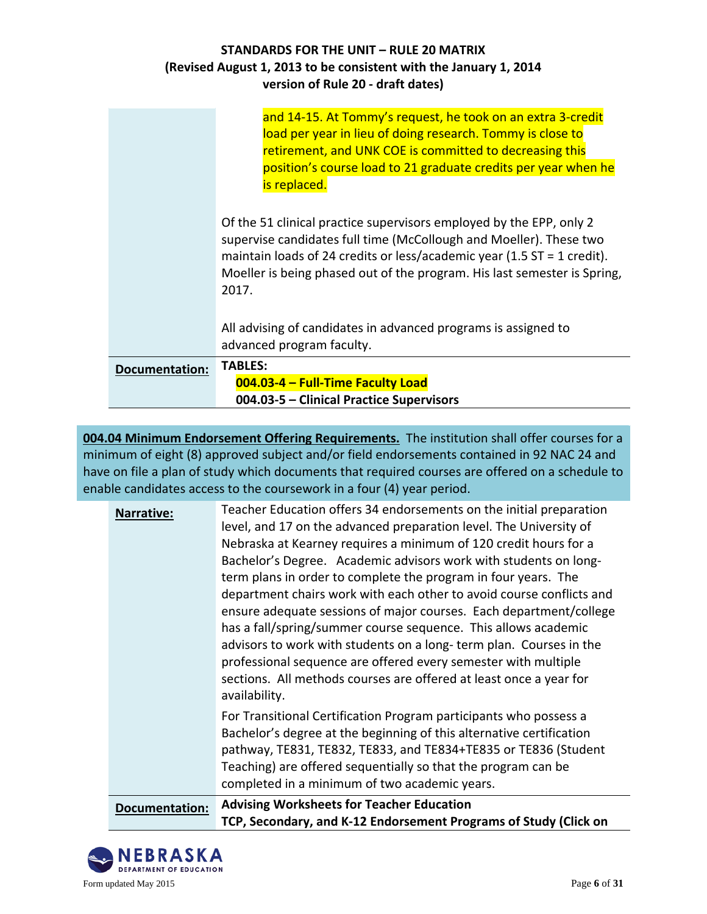| STANDARDS FOR THE UNIT - RULE 20 MATRIX                            |
|--------------------------------------------------------------------|
| (Revised August 1, 2013 to be consistent with the January 1, 2014) |
| version of Rule 20 - draft dates)                                  |

|                | and 14-15. At Tommy's request, he took on an extra 3-credit<br>load per year in lieu of doing research. Tommy is close to<br>retirement, and UNK COE is committed to decreasing this<br>position's course load to 21 graduate credits per year when he<br>is replaced.                                    |
|----------------|-----------------------------------------------------------------------------------------------------------------------------------------------------------------------------------------------------------------------------------------------------------------------------------------------------------|
|                | Of the 51 clinical practice supervisors employed by the EPP, only 2<br>supervise candidates full time (McCollough and Moeller). These two<br>maintain loads of 24 credits or less/academic year (1.5 ST = 1 credit).<br>Moeller is being phased out of the program. His last semester is Spring,<br>2017. |
|                | All advising of candidates in advanced programs is assigned to<br>advanced program faculty.                                                                                                                                                                                                               |
| Documentation: | <b>TABLES:</b>                                                                                                                                                                                                                                                                                            |
|                | 004.03-4 - Full-Time Faculty Load                                                                                                                                                                                                                                                                         |
|                | 004.03-5 - Clinical Practice Supervisors                                                                                                                                                                                                                                                                  |

**004.04 Minimum Endorsement Offering Requirements.** The institution shall offer courses for a minimum of eight (8) approved subject and/or field endorsements contained in 92 NAC 24 and have on file a plan of study which documents that required courses are offered on a schedule to enable candidates access to the coursework in a four (4) year period.

| <b>Narrative:</b>     | Teacher Education offers 34 endorsements on the initial preparation<br>level, and 17 on the advanced preparation level. The University of<br>Nebraska at Kearney requires a minimum of 120 credit hours for a<br>Bachelor's Degree. Academic advisors work with students on long-<br>term plans in order to complete the program in four years. The<br>department chairs work with each other to avoid course conflicts and<br>ensure adequate sessions of major courses. Each department/college<br>has a fall/spring/summer course sequence. This allows academic<br>advisors to work with students on a long-term plan. Courses in the<br>professional sequence are offered every semester with multiple<br>sections. All methods courses are offered at least once a year for<br>availability. |
|-----------------------|----------------------------------------------------------------------------------------------------------------------------------------------------------------------------------------------------------------------------------------------------------------------------------------------------------------------------------------------------------------------------------------------------------------------------------------------------------------------------------------------------------------------------------------------------------------------------------------------------------------------------------------------------------------------------------------------------------------------------------------------------------------------------------------------------|
|                       | For Transitional Certification Program participants who possess a<br>Bachelor's degree at the beginning of this alternative certification<br>pathway, TE831, TE832, TE833, and TE834+TE835 or TE836 (Student<br>Teaching) are offered sequentially so that the program can be<br>completed in a minimum of two academic years.                                                                                                                                                                                                                                                                                                                                                                                                                                                                     |
| <b>Documentation:</b> | <b>Advising Worksheets for Teacher Education</b><br>TCP, Secondary, and K-12 Endorsement Programs of Study (Click on                                                                                                                                                                                                                                                                                                                                                                                                                                                                                                                                                                                                                                                                               |

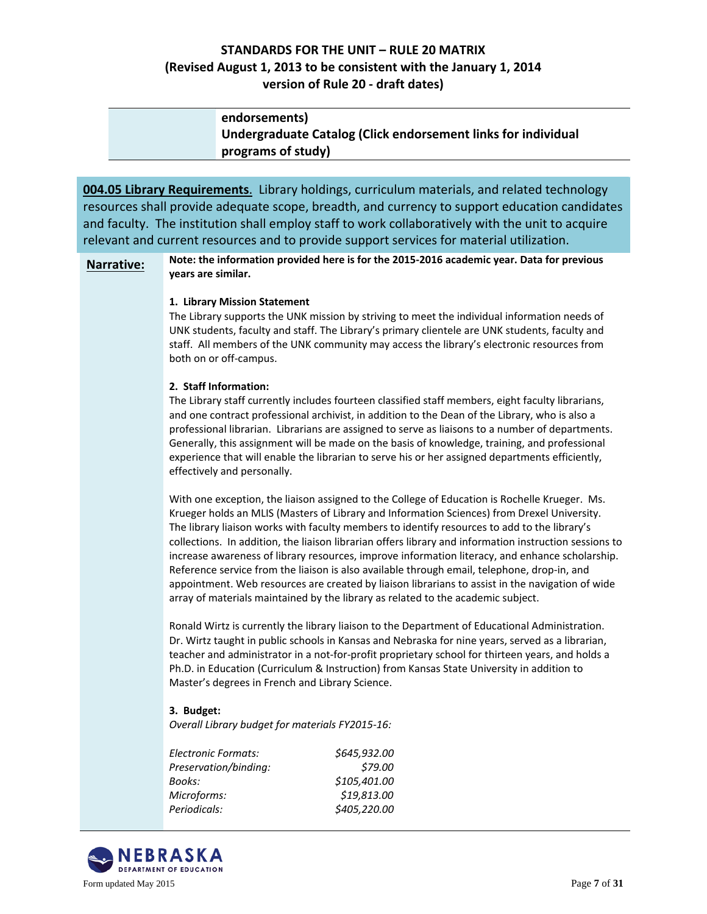| endorsements)                                                 |
|---------------------------------------------------------------|
| Undergraduate Catalog (Click endorsement links for individual |
| programs of study)                                            |

**004.05 Library Requirements**. Library holdings, curriculum materials, and related technology resources shall provide adequate scope, breadth, and currency to support education candidates and faculty. The institution shall employ staff to work collaboratively with the unit to acquire relevant and current resources and to provide support services for material utilization.

**Narrative: Note: the information provided here is for the 2015-2016 academic year. Data for previous years are similar.**

#### **1. Library Mission Statement**

The Library supports the UNK mission by striving to meet the individual information needs of UNK students, faculty and staff. The Library's primary clientele are UNK students, faculty and staff. All members of the UNK community may access the library's electronic resources from both on or off-campus.

#### **2. Staff Information:**

The Library staff currently includes fourteen classified staff members, eight faculty librarians, and one contract professional archivist, in addition to the Dean of the Library, who is also a professional librarian. Librarians are assigned to serve as liaisons to a number of departments. Generally, this assignment will be made on the basis of knowledge, training, and professional experience that will enable the librarian to serve his or her assigned departments efficiently, effectively and personally.

With one exception, the liaison assigned to the College of Education is Rochelle Krueger. Ms. Krueger holds an MLIS (Masters of Library and Information Sciences) from Drexel University. The library liaison works with faculty members to identify resources to add to the library's collections. In addition, the liaison librarian offers library and information instruction sessions to increase awareness of library resources, improve information literacy, and enhance scholarship. Reference service from the liaison is also available through email, telephone, drop-in, and appointment. Web resources are created by liaison librarians to assist in the navigation of wide array of materials maintained by the library as related to the academic subject.

Ronald Wirtz is currently the library liaison to the Department of Educational Administration. Dr. Wirtz taught in public schools in Kansas and Nebraska for nine years, served as a librarian, teacher and administrator in a not-for-profit proprietary school for thirteen years, and holds a Ph.D. in Education (Curriculum & Instruction) from Kansas State University in addition to Master's degrees in French and Library Science.

#### **3. Budget:**

*Overall Library budget for materials FY2015-16:* 

| \$645,932.00 |
|--------------|
| \$79.00      |
| \$105,401.00 |
| \$19,813.00  |
| \$405,220.00 |
|              |

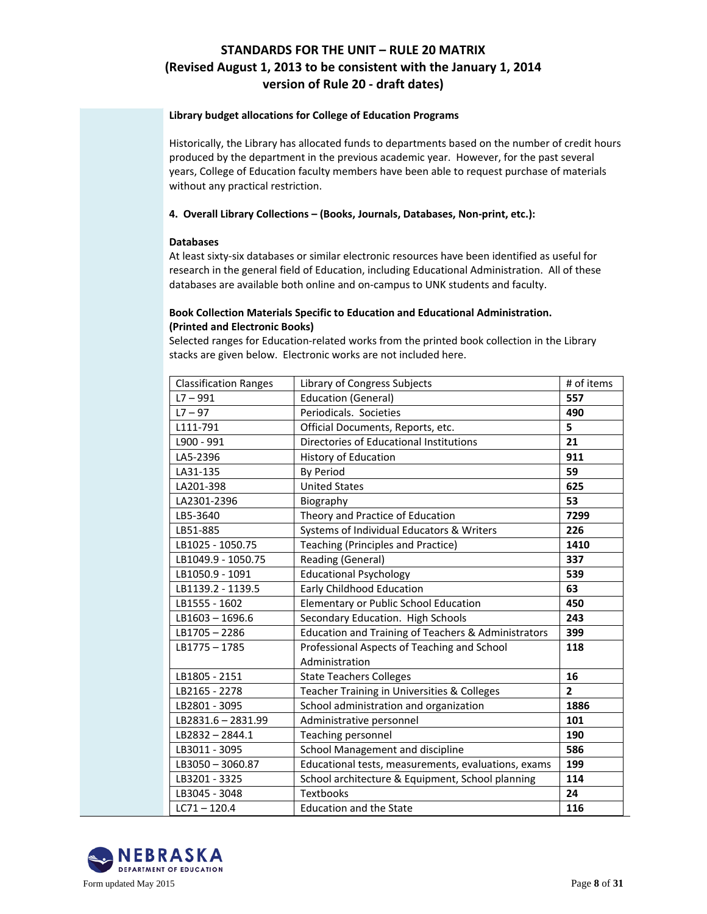#### **Library budget allocations for College of Education Programs**

Historically, the Library has allocated funds to departments based on the number of credit hours produced by the department in the previous academic year. However, for the past several years, College of Education faculty members have been able to request purchase of materials without any practical restriction.

#### **4. Overall Library Collections – (Books, Journals, Databases, Non-print, etc.):**

#### **Databases**

At least sixty-six databases or similar electronic resources have been identified as useful for research in the general field of Education, including Educational Administration. All of these databases are available both online and on-campus to UNK students and faculty.

#### **Book Collection Materials Specific to Education and Educational Administration. (Printed and Electronic Books)**

Selected ranges for Education-related works from the printed book collection in the Library stacks are given below. Electronic works are not included here.

| <b>Classification Ranges</b> | Library of Congress Subjects                        | # of items     |
|------------------------------|-----------------------------------------------------|----------------|
| $L7 - 991$                   | <b>Education (General)</b>                          | 557            |
| $L7 - 97$                    | Periodicals. Societies                              | 490            |
| L111-791                     | Official Documents, Reports, etc.                   | 5              |
| L900 - 991                   | Directories of Educational Institutions             | 21             |
| LA5-2396                     | <b>History of Education</b>                         | 911            |
| LA31-135                     | <b>By Period</b>                                    | 59             |
| LA201-398                    | <b>United States</b>                                | 625            |
| LA2301-2396                  | Biography                                           | 53             |
| LB5-3640                     | Theory and Practice of Education                    | 7299           |
| LB51-885                     | Systems of Individual Educators & Writers           | 226            |
| LB1025 - 1050.75             | <b>Teaching (Principles and Practice)</b>           | 1410           |
| LB1049.9 - 1050.75           | Reading (General)                                   | 337            |
| LB1050.9 - 1091              | <b>Educational Psychology</b>                       | 539            |
| LB1139.2 - 1139.5            | Early Childhood Education                           | 63             |
| LB1555 - 1602                | Elementary or Public School Education               | 450            |
| LB1603-1696.6                | Secondary Education. High Schools                   | 243            |
| LB1705-2286                  | Education and Training of Teachers & Administrators | 399            |
| LB1775-1785                  | Professional Aspects of Teaching and School         | 118            |
|                              | Administration                                      |                |
| LB1805 - 2151                | <b>State Teachers Colleges</b>                      | 16             |
| LB2165 - 2278                | Teacher Training in Universities & Colleges         | $\overline{2}$ |
| LB2801 - 3095                | School administration and organization              | 1886           |
| LB2831.6-2831.99             | Administrative personnel                            | 101            |
| $LB2832 - 2844.1$            | Teaching personnel                                  | 190            |
| LB3011 - 3095                | School Management and discipline                    | 586            |
| LB3050-3060.87               | Educational tests, measurements, evaluations, exams | 199            |
| LB3201 - 3325                | School architecture & Equipment, School planning    | 114            |
| LB3045 - 3048                | <b>Textbooks</b>                                    | 24             |
| $LC71 - 120.4$               | <b>Education and the State</b>                      | 116            |

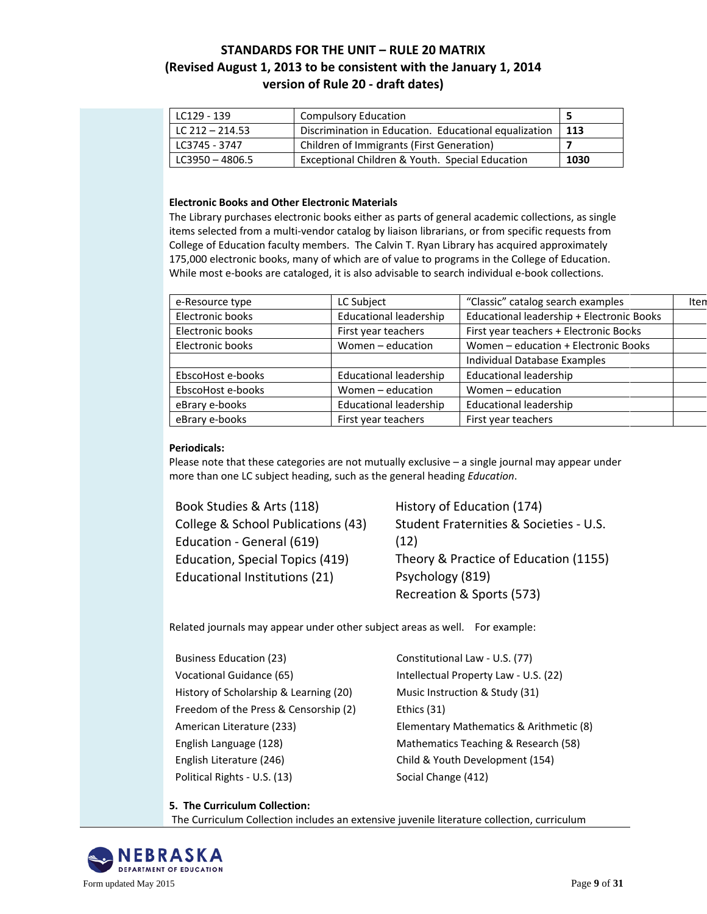| LC129 - 139       | <b>Compulsory Education</b>                           |      |
|-------------------|-------------------------------------------------------|------|
| LC 212 - 214.53   | Discrimination in Education. Educational equalization | 113  |
| LC3745 - 3747     | Children of Immigrants (First Generation)             |      |
| $LC3950 - 4806.5$ | Exceptional Children & Youth. Special Education       | 1030 |

#### **Electronic Books and Other Electronic Materials**

The Library purchases electronic books either as parts of general academic collections, as single items selected from a multi-vendor catalog by liaison librarians, or from specific requests from College of Education faculty members. The Calvin T. Ryan Library has acquired approximately 175,000 electronic books, many of which are of value to programs in the College of Education. While most e-books are cataloged, it is also advisable to search individual e-book collections.

| e-Resource type   | LC Subject                    | "Classic" catalog search examples         | Iten |
|-------------------|-------------------------------|-------------------------------------------|------|
| Electronic books  | <b>Educational leadership</b> | Educational leadership + Electronic Books |      |
| Electronic books  | First year teachers           | First year teachers + Electronic Books    |      |
| Electronic books  | Women - education             | Women - education + Electronic Books      |      |
|                   |                               | Individual Database Examples              |      |
| EbscoHost e-books | <b>Educational leadership</b> | <b>Educational leadership</b>             |      |
| EbscoHost e-books | Women - education             | Women - education                         |      |
| eBrary e-books    | <b>Educational leadership</b> | <b>Educational leadership</b>             |      |
| eBrary e-books    | First year teachers           | First year teachers                       |      |

#### **Periodicals:**

Please note that these categories are not mutually exclusive – a single journal may appear under more than one LC subject heading, such as the general heading *Education*.

[Book Studies & Arts \(118\)](http://hl9tv8ne4m.search.serialssolutions.com/?V=1.0&L=HL9TV8NE4M&N=100&SS_searchTypeJournal=yes&S=SC&C=SO0205)  [College & School Publications \(43\)](http://hl9tv8ne4m.search.serialssolutions.com/?V=1.0&L=HL9TV8NE4M&N=100&SS_searchTypeJournal=yes&S=SC&C=SO0206)  Education - [General \(619\)](http://hl9tv8ne4m.search.serialssolutions.com/?V=1.0&L=HL9TV8NE4M&N=100&SS_searchTypeJournal=yes&S=SC&C=SO0207)  [Education, Special Topics \(419\)](http://hl9tv8ne4m.search.serialssolutions.com/?V=1.0&L=HL9TV8NE4M&N=100&SS_searchTypeJournal=yes&S=SC&C=SO0208)  [Educational Institutions \(21\)](http://hl9tv8ne4m.search.serialssolutions.com/?V=1.0&L=HL9TV8NE4M&N=100&SS_searchTypeJournal=yes&S=SC&C=SO0209) 

[History of Education \(174\)](http://hl9tv8ne4m.search.serialssolutions.com/?V=1.0&L=HL9TV8NE4M&N=100&SS_searchTypeJournal=yes&S=SC&C=SO0210)  [Student Fraternities & Societies -](http://hl9tv8ne4m.search.serialssolutions.com/?V=1.0&L=HL9TV8NE4M&N=100&SS_searchTypeJournal=yes&S=SC&C=SO0211) U.S. [\(12\)](http://hl9tv8ne4m.search.serialssolutions.com/?V=1.0&L=HL9TV8NE4M&N=100&SS_searchTypeJournal=yes&S=SC&C=SO0211)  [Theory & Practice of Education \(1155\)](http://hl9tv8ne4m.search.serialssolutions.com/?V=1.0&L=HL9TV8NE4M&N=100&SS_searchTypeJournal=yes&S=SC&C=SO0213) [Psychology \(819\)](http://hl9tv8ne4m.search.serialssolutions.com/?V=1.0&L=HL9TV8NE4M&N=100&SS_searchTypeJournal=yes&S=SC&C=SO0138)  [Recreation & Sports \(573\)](http://hl9tv8ne4m.search.serialssolutions.com/?V=1.0&L=HL9TV8NE4M&N=100&SS_searchTypeJournal=yes&S=SC&C=SO0139) 

Related journals may appear under other subject areas as well. For example:

| <b>Business Education (23)</b>         |
|----------------------------------------|
| Vocational Guidance (65)               |
| History of Scholarship & Learning (20) |
| Freedom of the Press & Censorship (2)  |
| American Literature (233)              |
| English Language (128)                 |
| English Literature (246)               |
| Political Rights - U.S. (13)           |

[Constitutional Law -](http://hl9tv8ne4m.search.serialssolutions.com/?V=1.0&L=HL9TV8NE4M&N=100&SS_searchTypeJournal=yes&S=SC&C=GO0264) U.S. (77) [Intellectual Property Law -](http://hl9tv8ne4m.search.serialssolutions.com/?V=1.0&L=HL9TV8NE4M&N=100&SS_searchTypeJournal=yes&S=SC&C=GO0272) U.S. (22) [Music Instruction & Study \(31\)](http://hl9tv8ne4m.search.serialssolutions.com/?V=1.0&L=HL9TV8NE4M&N=100&SS_searchTypeJournal=yes&S=SC&C=100361)  [Ethics \(31\)](http://hl9tv8ne4m.search.serialssolutions.com/?V=1.0&L=HL9TV8NE4M&N=100&SS_searchTypeJournal=yes&S=SC&C=RE0367)  [Elementary Mathematics & Arithmetic \(8\)](http://hl9tv8ne4m.search.serialssolutions.com/?V=1.0&L=HL9TV8NE4M&N=100&SS_searchTypeJournal=yes&S=SC&C=LS0290)  [Mathematics Teaching & Research \(58\)](http://hl9tv8ne4m.search.serialssolutions.com/?V=1.0&L=HL9TV8NE4M&N=100&SS_searchTypeJournal=yes&S=SC&C=LS0295)  [Child & Youth Development \(154\)](http://hl9tv8ne4m.search.serialssolutions.com/?V=1.0&L=HL9TV8NE4M&N=100&SS_searchTypeJournal=yes&S=SC&C=SO0477)  [Social Change \(412\)](http://hl9tv8ne4m.search.serialssolutions.com/?V=1.0&L=HL9TV8NE4M&N=100&SS_searchTypeJournal=yes&S=SC&C=SO0490) 

#### **5. The Curriculum Collection:**

The Curriculum Collection includes an extensive juvenile literature collection, curriculum

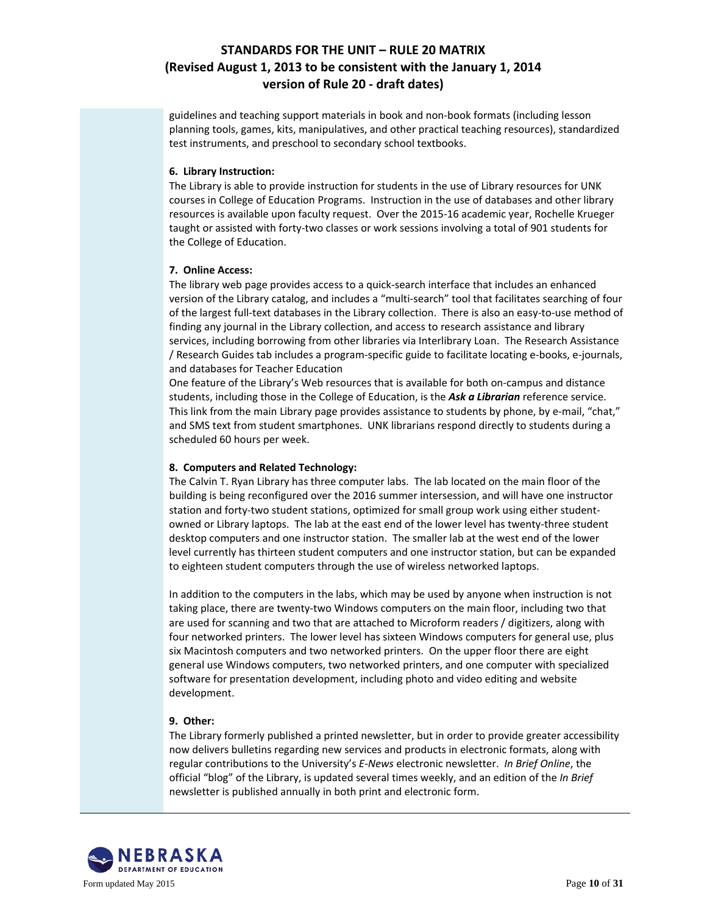guidelines and teaching support materials in book and non-book formats (including lesson planning tools, games, kits, manipulatives, and other practical teaching resources), standardized test instruments, and preschool to secondary school textbooks.

#### **6. Library Instruction:**

The Library is able to provide instruction for students in the use of Library resources for UNK courses in College of Education Programs. Instruction in the use of databases and other library resources is available upon faculty request. Over the 2015-16 academic year, Rochelle Krueger taught or assisted with forty-two classes or work sessions involving a total of 901 students for the College of Education.

#### **7. Online Access:**

The library web page provides access to a quick-search interface that includes an enhanced version of the Library catalog, and includes a "multi-search" tool that facilitates searching of four of the largest full-text databases in the Library collection. There is also an easy-to-use method of finding any journal in the Library collection, and access to research assistance and library services, including borrowing from other libraries via Interlibrary Loan. The Research Assistance / Research Guides tab includes a program-specific guide to facilitate locating e-books, e-journals, and databases for Teacher Education

One feature of the Library's Web resources that is available for both on-campus and distance students, including those in the College of Education, is the *Ask a Librarian* reference service. This link from the main Library page provides assistance to students by phone, by e-mail, "chat," and SMS text from student smartphones. UNK librarians respond directly to students during a scheduled 60 hours per week.

#### **8. Computers and Related Technology:**

The Calvin T. Ryan Library has three computer labs. The lab located on the main floor of the building is being reconfigured over the 2016 summer intersession, and will have one instructor station and forty-two student stations, optimized for small group work using either studentowned or Library laptops. The lab at the east end of the lower level has twenty-three student desktop computers and one instructor station. The smaller lab at the west end of the lower level currently has thirteen student computers and one instructor station, but can be expanded to eighteen student computers through the use of wireless networked laptops.

In addition to the computers in the labs, which may be used by anyone when instruction is not taking place, there are twenty-two Windows computers on the main floor, including two that are used for scanning and two that are attached to Microform readers / digitizers, along with four networked printers. The lower level has sixteen Windows computers for general use, plus six Macintosh computers and two networked printers. On the upper floor there are eight general use Windows computers, two networked printers, and one computer with specialized software for presentation development, including photo and video editing and website development.

#### **9. Other:**

The Library formerly published a printed newsletter, but in order to provide greater accessibility now delivers bulletins regarding new services and products in electronic formats, along with regular contributions to the University's *E-News* electronic newsletter. *In Brief Online*, the official "blog" of the Library, is updated several times weekly, and an edition of the *In Brief* newsletter is published annually in both print and electronic form.

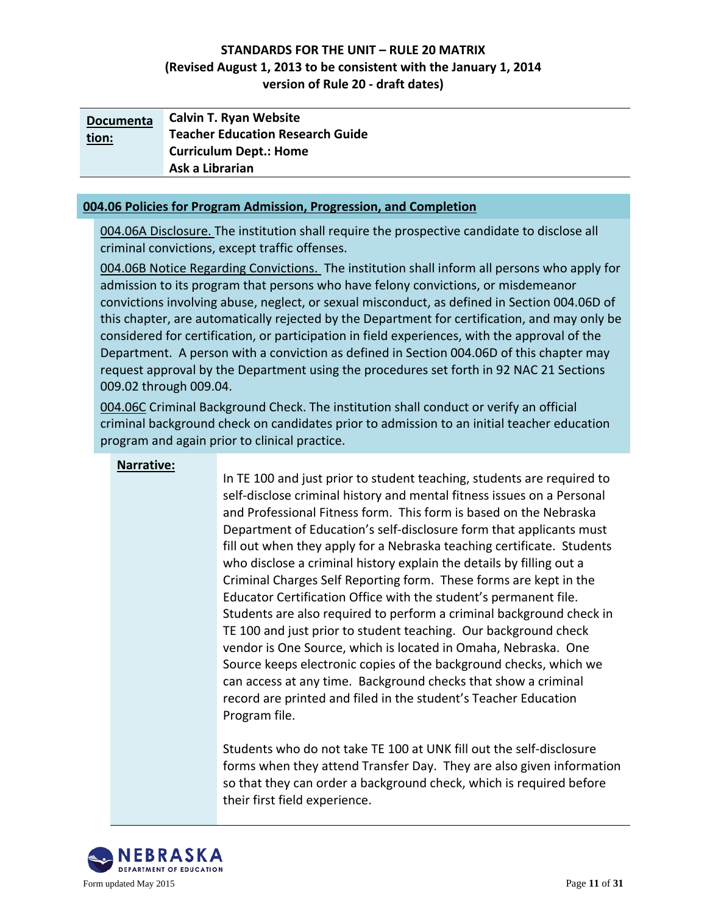| <b>Documenta</b> | <b>Calvin T. Ryan Website</b>           |
|------------------|-----------------------------------------|
| tion:            | <b>Teacher Education Research Guide</b> |
|                  | <b>Curriculum Dept.: Home</b>           |
|                  | Ask a Librarian                         |

#### **004.06 Policies for Program Admission, Progression, and Completion**

004.06A Disclosure. The institution shall require the prospective candidate to disclose all criminal convictions, except traffic offenses.

004.06B Notice Regarding Convictions. The institution shall inform all persons who apply for admission to its program that persons who have felony convictions, or misdemeanor convictions involving abuse, neglect, or sexual misconduct, as defined in Section 004.06D of this chapter, are automatically rejected by the Department for certification, and may only be considered for certification, or participation in field experiences, with the approval of the Department. A person with a conviction as defined in Section 004.06D of this chapter may request approval by the Department using the procedures set forth in 92 NAC 21 Sections 009.02 through 009.04.

004.06C Criminal Background Check. The institution shall conduct or verify an official criminal background check on candidates prior to admission to an initial teacher education program and again prior to clinical practice.

#### **Narrative:**

In TE 100 and just prior to student teaching, students are required to self-disclose criminal history and mental fitness issues on a Personal and Professional Fitness form. This form is based on the Nebraska Department of Education's self-disclosure form that applicants must fill out when they apply for a Nebraska teaching certificate. Students who disclose a criminal history explain the details by filling out a Criminal Charges Self Reporting form. These forms are kept in the Educator Certification Office with the student's permanent file. Students are also required to perform a criminal background check in TE 100 and just prior to student teaching. Our background check vendor is One Source, which is located in Omaha, Nebraska. One Source keeps electronic copies of the background checks, which we can access at any time. Background checks that show a criminal record are printed and filed in the student's Teacher Education Program file.

Students who do not take TE 100 at UNK fill out the self-disclosure forms when they attend Transfer Day. They are also given information so that they can order a background check, which is required before their first field experience.

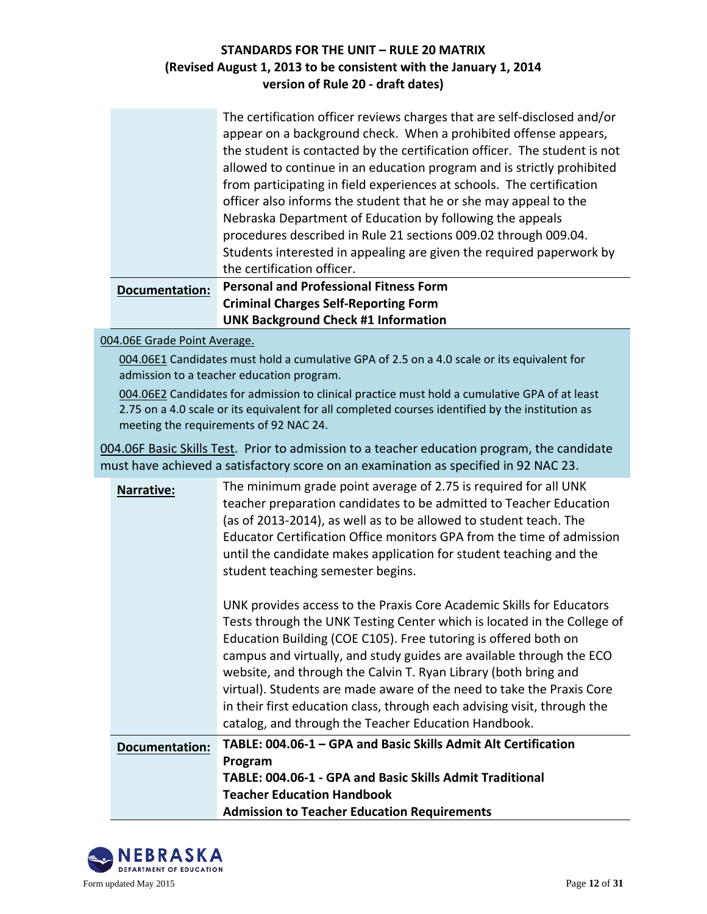|                       | The certification officer reviews charges that are self-disclosed and/or  |  |
|-----------------------|---------------------------------------------------------------------------|--|
|                       | appear on a background check. When a prohibited offense appears,          |  |
|                       | the student is contacted by the certification officer. The student is not |  |
|                       | allowed to continue in an education program and is strictly prohibited    |  |
|                       | from participating in field experiences at schools. The certification     |  |
|                       | officer also informs the student that he or she may appeal to the         |  |
|                       | Nebraska Department of Education by following the appeals                 |  |
|                       | procedures described in Rule 21 sections 009.02 through 009.04.           |  |
|                       | Students interested in appealing are given the required paperwork by      |  |
|                       | the certification officer.                                                |  |
| <b>Documentation:</b> | <b>Personal and Professional Fitness Form</b>                             |  |
|                       | <b>Criminal Charges Self-Reporting Form</b>                               |  |
|                       | <b>UNK Background Check #1 Information</b>                                |  |

004.06E Grade Point Average.

004.06E1 Candidates must hold a cumulative GPA of 2.5 on a 4.0 scale or its equivalent for admission to a teacher education program.

004.06E2 Candidates for admission to clinical practice must hold a cumulative GPA of at least 2.75 on a 4.0 scale or its equivalent for all completed courses identified by the institution as meeting the requirements of 92 NAC 24.

004.06F Basic Skills Test. Prior to admission to a teacher education program, the candidate must have achieved a satisfactory score on an examination as specified in 92 NAC 23.

| Narrative:            | The minimum grade point average of 2.75 is required for all UNK<br>teacher preparation candidates to be admitted to Teacher Education<br>(as of 2013-2014), as well as to be allowed to student teach. The<br>Educator Certification Office monitors GPA from the time of admission<br>until the candidate makes application for student teaching and the<br>student teaching semester begins.                                                                                                                                                                             |
|-----------------------|----------------------------------------------------------------------------------------------------------------------------------------------------------------------------------------------------------------------------------------------------------------------------------------------------------------------------------------------------------------------------------------------------------------------------------------------------------------------------------------------------------------------------------------------------------------------------|
|                       | UNK provides access to the Praxis Core Academic Skills for Educators<br>Tests through the UNK Testing Center which is located in the College of<br>Education Building (COE C105). Free tutoring is offered both on<br>campus and virtually, and study guides are available through the ECO<br>website, and through the Calvin T. Ryan Library (both bring and<br>virtual). Students are made aware of the need to take the Praxis Core<br>in their first education class, through each advising visit, through the<br>catalog, and through the Teacher Education Handbook. |
| <b>Documentation:</b> | TABLE: 004.06-1 - GPA and Basic Skills Admit Alt Certification                                                                                                                                                                                                                                                                                                                                                                                                                                                                                                             |
|                       | Program                                                                                                                                                                                                                                                                                                                                                                                                                                                                                                                                                                    |
|                       | TABLE: 004.06-1 - GPA and Basic Skills Admit Traditional                                                                                                                                                                                                                                                                                                                                                                                                                                                                                                                   |
|                       | <b>Teacher Education Handbook</b>                                                                                                                                                                                                                                                                                                                                                                                                                                                                                                                                          |
|                       | <b>Admission to Teacher Education Requirements</b>                                                                                                                                                                                                                                                                                                                                                                                                                                                                                                                         |

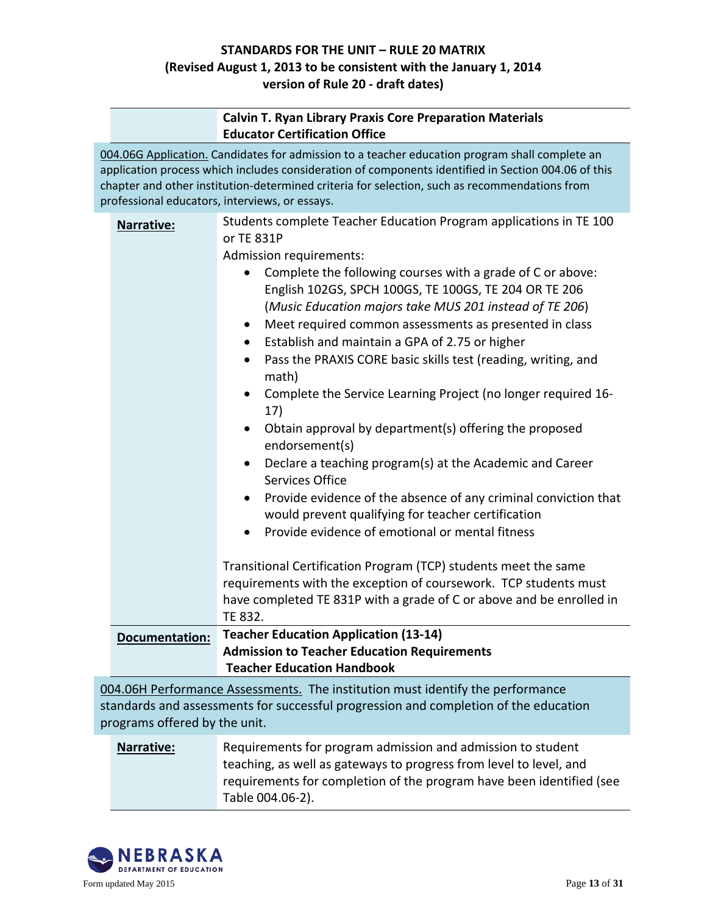|                               | <b>Calvin T. Ryan Library Praxis Core Preparation Materials</b><br><b>Educator Certification Office</b>                                                                                                                                                                                                                                                                                                                                                                                                                                                                                                                                                                                                                                                                                                                                                                                                                                                                                                                                                                                                                                                                                 |
|-------------------------------|-----------------------------------------------------------------------------------------------------------------------------------------------------------------------------------------------------------------------------------------------------------------------------------------------------------------------------------------------------------------------------------------------------------------------------------------------------------------------------------------------------------------------------------------------------------------------------------------------------------------------------------------------------------------------------------------------------------------------------------------------------------------------------------------------------------------------------------------------------------------------------------------------------------------------------------------------------------------------------------------------------------------------------------------------------------------------------------------------------------------------------------------------------------------------------------------|
|                               | 004.06G Application. Candidates for admission to a teacher education program shall complete an<br>application process which includes consideration of components identified in Section 004.06 of this<br>chapter and other institution-determined criteria for selection, such as recommendations from<br>professional educators, interviews, or essays.                                                                                                                                                                                                                                                                                                                                                                                                                                                                                                                                                                                                                                                                                                                                                                                                                                |
| Narrative:                    | Students complete Teacher Education Program applications in TE 100<br>or TE 831P<br>Admission requirements:<br>Complete the following courses with a grade of C or above:<br>English 102GS, SPCH 100GS, TE 100GS, TE 204 OR TE 206<br>(Music Education majors take MUS 201 instead of TE 206)<br>Meet required common assessments as presented in class<br>$\bullet$<br>Establish and maintain a GPA of 2.75 or higher<br>$\bullet$<br>Pass the PRAXIS CORE basic skills test (reading, writing, and<br>$\bullet$<br>math)<br>Complete the Service Learning Project (no longer required 16-<br>17)<br>Obtain approval by department(s) offering the proposed<br>endorsement(s)<br>Declare a teaching program(s) at the Academic and Career<br><b>Services Office</b><br>Provide evidence of the absence of any criminal conviction that<br>$\bullet$<br>would prevent qualifying for teacher certification<br>Provide evidence of emotional or mental fitness<br>Transitional Certification Program (TCP) students meet the same<br>requirements with the exception of coursework. TCP students must<br>have completed TE 831P with a grade of C or above and be enrolled in<br>TE 832. |
| <b>Documentation:</b>         | <b>Teacher Education Application (13-14)</b><br><b>Admission to Teacher Education Requirements</b><br><b>Teacher Education Handbook</b>                                                                                                                                                                                                                                                                                                                                                                                                                                                                                                                                                                                                                                                                                                                                                                                                                                                                                                                                                                                                                                                 |
| programs offered by the unit. | 004.06H Performance Assessments. The institution must identify the performance<br>standards and assessments for successful progression and completion of the education                                                                                                                                                                                                                                                                                                                                                                                                                                                                                                                                                                                                                                                                                                                                                                                                                                                                                                                                                                                                                  |
| Narrative:                    | Requirements for program admission and admission to student<br>teaching, as well as gateways to progress from level to level, and                                                                                                                                                                                                                                                                                                                                                                                                                                                                                                                                                                                                                                                                                                                                                                                                                                                                                                                                                                                                                                                       |

requirements for completion of the program have been identified (see



Table 004.06-2).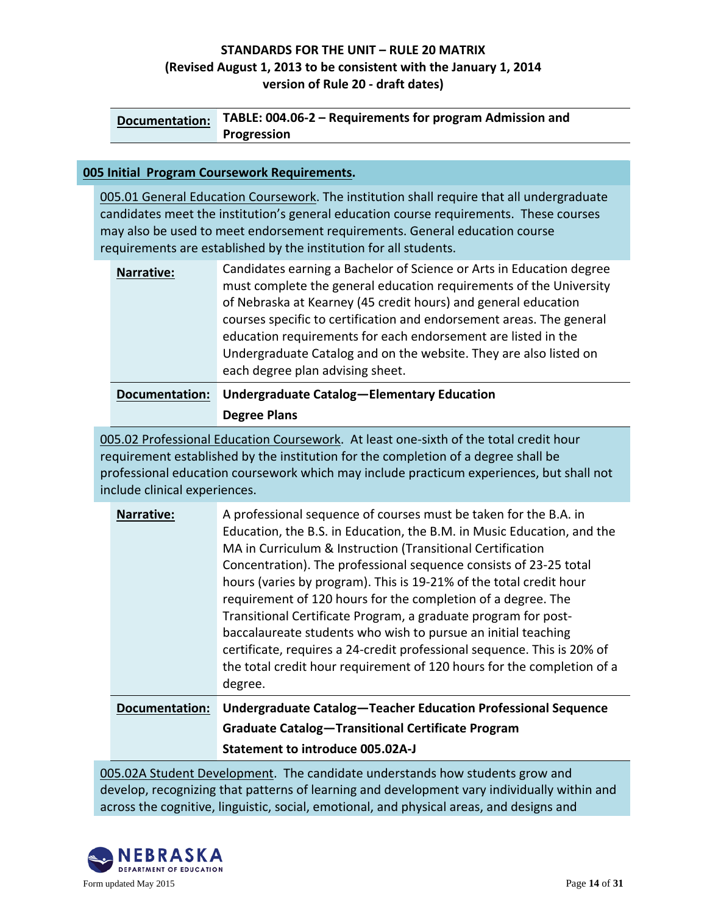| <b>Documentation:</b> | TABLE: 004.06-2 – Requirements for program Admission and |
|-----------------------|----------------------------------------------------------|
|                       | <b>Progression</b>                                       |

#### **005 Initial Program Coursework Requirements.**

005.01 General Education Coursework. The institution shall require that all undergraduate candidates meet the institution's general education course requirements. These courses may also be used to meet endorsement requirements. General education course requirements are established by the institution for all students.

| <b>Documentation:</b> | each degree plan advising sheet.<br>Undergraduate Catalog-Elementary Education                                                                                                                               |
|-----------------------|--------------------------------------------------------------------------------------------------------------------------------------------------------------------------------------------------------------|
|                       | courses specific to certification and endorsement areas. The general<br>education requirements for each endorsement are listed in the<br>Undergraduate Catalog and on the website. They are also listed on   |
| Narrative:            | Candidates earning a Bachelor of Science or Arts in Education degree<br>must complete the general education requirements of the University<br>of Nebraska at Kearney (45 credit hours) and general education |

#### **[Degree Plans](http://www.unk.edu/academics/ted/advising-tips/advising_worksheets.php)**

005.02 Professional Education Coursework. At least one-sixth of the total credit hour requirement established by the institution for the completion of a degree shall be professional education coursework which may include practicum experiences, but shall not include clinical experiences.

| Narrative:            | A professional sequence of courses must be taken for the B.A. in<br>Education, the B.S. in Education, the B.M. in Music Education, and the<br>MA in Curriculum & Instruction (Transitional Certification<br>Concentration). The professional sequence consists of 23-25 total<br>hours (varies by program). This is 19-21% of the total credit hour<br>requirement of 120 hours for the completion of a degree. The<br>Transitional Certificate Program, a graduate program for post-<br>baccalaureate students who wish to pursue an initial teaching<br>certificate, requires a 24-credit professional sequence. This is 20% of<br>the total credit hour requirement of 120 hours for the completion of a<br>degree. |
|-----------------------|------------------------------------------------------------------------------------------------------------------------------------------------------------------------------------------------------------------------------------------------------------------------------------------------------------------------------------------------------------------------------------------------------------------------------------------------------------------------------------------------------------------------------------------------------------------------------------------------------------------------------------------------------------------------------------------------------------------------|
| <b>Documentation:</b> | Undergraduate Catalog-Teacher Education Professional Sequence                                                                                                                                                                                                                                                                                                                                                                                                                                                                                                                                                                                                                                                          |
|                       | <b>Graduate Catalog-Transitional Certificate Program</b>                                                                                                                                                                                                                                                                                                                                                                                                                                                                                                                                                                                                                                                               |
|                       | <b>Statement to introduce 005.02A-J</b>                                                                                                                                                                                                                                                                                                                                                                                                                                                                                                                                                                                                                                                                                |

005.02A Student Development. The candidate understands how students grow and develop, recognizing that patterns of learning and development vary individually within and across the cognitive, linguistic, social, emotional, and physical areas, and designs and

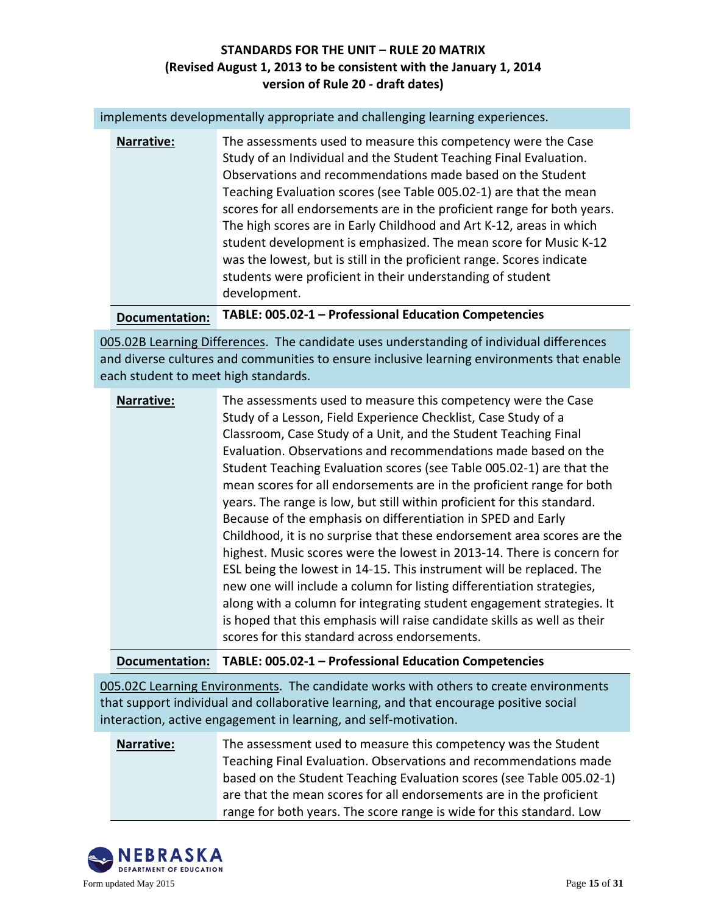implements developmentally appropriate and challenging learning experiences.

| Narrative: | The assessments used to measure this competency were the Case<br>Study of an Individual and the Student Teaching Final Evaluation.<br>Observations and recommendations made based on the Student<br>Teaching Evaluation scores (see Table 005.02-1) are that the mean<br>scores for all endorsements are in the proficient range for both years.<br>The high scores are in Early Childhood and Art K-12, areas in which<br>student development is emphasized. The mean score for Music K-12<br>was the lowest, but is still in the proficient range. Scores indicate<br>students were proficient in their understanding of student<br>development. |
|------------|----------------------------------------------------------------------------------------------------------------------------------------------------------------------------------------------------------------------------------------------------------------------------------------------------------------------------------------------------------------------------------------------------------------------------------------------------------------------------------------------------------------------------------------------------------------------------------------------------------------------------------------------------|
|------------|----------------------------------------------------------------------------------------------------------------------------------------------------------------------------------------------------------------------------------------------------------------------------------------------------------------------------------------------------------------------------------------------------------------------------------------------------------------------------------------------------------------------------------------------------------------------------------------------------------------------------------------------------|

**Documentation: TABLE: 005.02-1 – Professional Education Competencies**

005.02B Learning Differences. The candidate uses understanding of individual differences and diverse cultures and communities to ensure inclusive learning environments that enable each student to meet high standards.

| Narrative: | The assessments used to measure this competency were the Case<br>Study of a Lesson, Field Experience Checklist, Case Study of a<br>Classroom, Case Study of a Unit, and the Student Teaching Final<br>Evaluation. Observations and recommendations made based on the<br>Student Teaching Evaluation scores (see Table 005.02-1) are that the<br>mean scores for all endorsements are in the proficient range for both<br>years. The range is low, but still within proficient for this standard.<br>Because of the emphasis on differentiation in SPED and Early<br>Childhood, it is no surprise that these endorsement area scores are the<br>highest. Music scores were the lowest in 2013-14. There is concern for<br>ESL being the lowest in 14-15. This instrument will be replaced. The<br>new one will include a column for listing differentiation strategies,<br>along with a column for integrating student engagement strategies. It<br>is hoped that this emphasis will raise candidate skills as well as their |
|------------|-----------------------------------------------------------------------------------------------------------------------------------------------------------------------------------------------------------------------------------------------------------------------------------------------------------------------------------------------------------------------------------------------------------------------------------------------------------------------------------------------------------------------------------------------------------------------------------------------------------------------------------------------------------------------------------------------------------------------------------------------------------------------------------------------------------------------------------------------------------------------------------------------------------------------------------------------------------------------------------------------------------------------------|
|            | scores for this standard across endorsements.                                                                                                                                                                                                                                                                                                                                                                                                                                                                                                                                                                                                                                                                                                                                                                                                                                                                                                                                                                               |

#### **Documentation: TABLE: 005.02-1 – Professional Education Competencies**

005.02C Learning Environments. The candidate works with others to create environments that support individual and collaborative learning, and that encourage positive social interaction, active engagement in learning, and self-motivation.

**Narrative:** The assessment used to measure this competency was the Student Teaching Final Evaluation. Observations and recommendations made based on the Student Teaching Evaluation scores (see Table 005.02-1) are that the mean scores for all endorsements are in the proficient range for both years. The score range is wide for this standard. Low

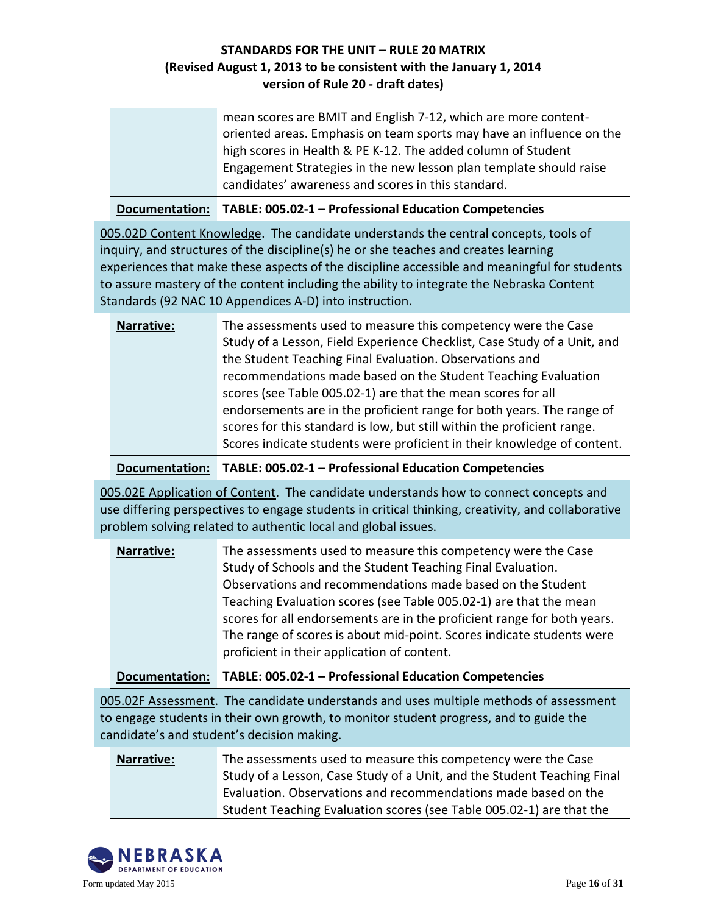| mean scores are BMIT and English 7-12, which are more content-       |
|----------------------------------------------------------------------|
| oriented areas. Emphasis on team sports may have an influence on the |
| high scores in Health & PE K-12. The added column of Student         |
| Engagement Strategies in the new lesson plan template should raise   |
| candidates' awareness and scores in this standard.                   |

|  | Documentation: TABLE: 005.02-1 - Professional Education Competencies |
|--|----------------------------------------------------------------------|
|--|----------------------------------------------------------------------|

005.02D Content Knowledge. The candidate understands the central concepts, tools of inquiry, and structures of the discipline(s) he or she teaches and creates learning experiences that make these aspects of the discipline accessible and meaningful for students to assure mastery of the content including the ability to integrate the Nebraska Content Standards (92 NAC 10 Appendices A-D) into instruction.

| The assessments used to measure this competency were the Case            |
|--------------------------------------------------------------------------|
| Study of a Lesson, Field Experience Checklist, Case Study of a Unit, and |
| the Student Teaching Final Evaluation. Observations and                  |
| recommendations made based on the Student Teaching Evaluation            |
| scores (see Table 005.02-1) are that the mean scores for all             |
| endorsements are in the proficient range for both years. The range of    |
| scores for this standard is low, but still within the proficient range.  |
| Scores indicate students were proficient in their knowledge of content.  |
|                                                                          |

**Documentation: TABLE: 005.02-1 – Professional Education Competencies**

005.02E Application of Content. The candidate understands how to connect concepts and use differing perspectives to engage students in critical thinking, creativity, and collaborative problem solving related to authentic local and global issues.

| <b>Narrative:</b> | The assessments used to measure this competency were the Case           |
|-------------------|-------------------------------------------------------------------------|
|                   | Study of Schools and the Student Teaching Final Evaluation.             |
|                   | Observations and recommendations made based on the Student              |
|                   | Teaching Evaluation scores (see Table 005.02-1) are that the mean       |
|                   | scores for all endorsements are in the proficient range for both years. |
|                   | The range of scores is about mid-point. Scores indicate students were   |
|                   | proficient in their application of content.                             |

| Documentation: TABLE: 005.02-1 - Professional Education Competencies |
|----------------------------------------------------------------------|
|                                                                      |

005.02F Assessment. The candidate understands and uses multiple methods of assessment to engage students in their own growth, to monitor student progress, and to guide the candidate's and student's decision making.

| <b>Narrative:</b> | The assessments used to measure this competency were the Case           |
|-------------------|-------------------------------------------------------------------------|
|                   | Study of a Lesson, Case Study of a Unit, and the Student Teaching Final |
|                   | Evaluation. Observations and recommendations made based on the          |
|                   | Student Teaching Evaluation scores (see Table 005.02-1) are that the    |

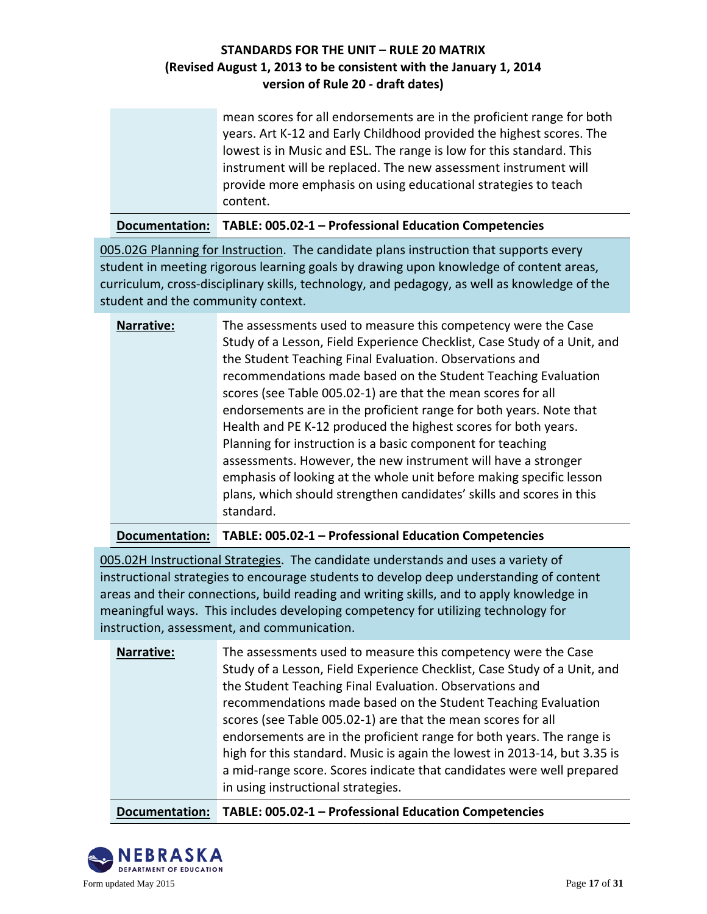| mean scores for all endorsements are in the proficient range for both |
|-----------------------------------------------------------------------|
| years. Art K-12 and Early Childhood provided the highest scores. The  |
| lowest is in Music and ESL. The range is low for this standard. This  |
| instrument will be replaced. The new assessment instrument will       |
| provide more emphasis on using educational strategies to teach        |
| content.                                                              |
|                                                                       |

**Documentation: TABLE: 005.02-1 – Professional Education Competencies**

005.02G Planning for Instruction. The candidate plans instruction that supports every student in meeting rigorous learning goals by drawing upon knowledge of content areas, curriculum, cross-disciplinary skills, technology, and pedagogy, as well as knowledge of the student and the community context.

| <b>Narrative:</b> | The assessments used to measure this competency were the Case<br>Study of a Lesson, Field Experience Checklist, Case Study of a Unit, and<br>the Student Teaching Final Evaluation. Observations and<br>recommendations made based on the Student Teaching Evaluation<br>scores (see Table 005.02-1) are that the mean scores for all<br>endorsements are in the proficient range for both years. Note that<br>Health and PE K-12 produced the highest scores for both years.<br>Planning for instruction is a basic component for teaching<br>assessments. However, the new instrument will have a stronger<br>emphasis of looking at the whole unit before making specific lesson<br>plans, which should strengthen candidates' skills and scores in this<br>standard. |
|-------------------|--------------------------------------------------------------------------------------------------------------------------------------------------------------------------------------------------------------------------------------------------------------------------------------------------------------------------------------------------------------------------------------------------------------------------------------------------------------------------------------------------------------------------------------------------------------------------------------------------------------------------------------------------------------------------------------------------------------------------------------------------------------------------|
|-------------------|--------------------------------------------------------------------------------------------------------------------------------------------------------------------------------------------------------------------------------------------------------------------------------------------------------------------------------------------------------------------------------------------------------------------------------------------------------------------------------------------------------------------------------------------------------------------------------------------------------------------------------------------------------------------------------------------------------------------------------------------------------------------------|

**Documentation: TABLE: 005.02-1 – Professional Education Competencies**

005.02H Instructional Strategies. The candidate understands and uses a variety of instructional strategies to encourage students to develop deep understanding of content areas and their connections, build reading and writing skills, and to apply knowledge in meaningful ways. This includes developing competency for utilizing technology for instruction, assessment, and communication.

| Narrative: | The assessments used to measure this competency were the Case<br>Study of a Lesson, Field Experience Checklist, Case Study of a Unit, and<br>the Student Teaching Final Evaluation. Observations and<br>recommendations made based on the Student Teaching Evaluation<br>scores (see Table 005.02-1) are that the mean scores for all<br>endorsements are in the proficient range for both years. The range is<br>high for this standard. Music is again the lowest in 2013-14, but 3.35 is<br>a mid-range score. Scores indicate that candidates were well prepared<br>in using instructional strategies. |
|------------|------------------------------------------------------------------------------------------------------------------------------------------------------------------------------------------------------------------------------------------------------------------------------------------------------------------------------------------------------------------------------------------------------------------------------------------------------------------------------------------------------------------------------------------------------------------------------------------------------------|
|            |                                                                                                                                                                                                                                                                                                                                                                                                                                                                                                                                                                                                            |

**Documentation: TABLE: 005.02-1 – Professional Education Competencies**

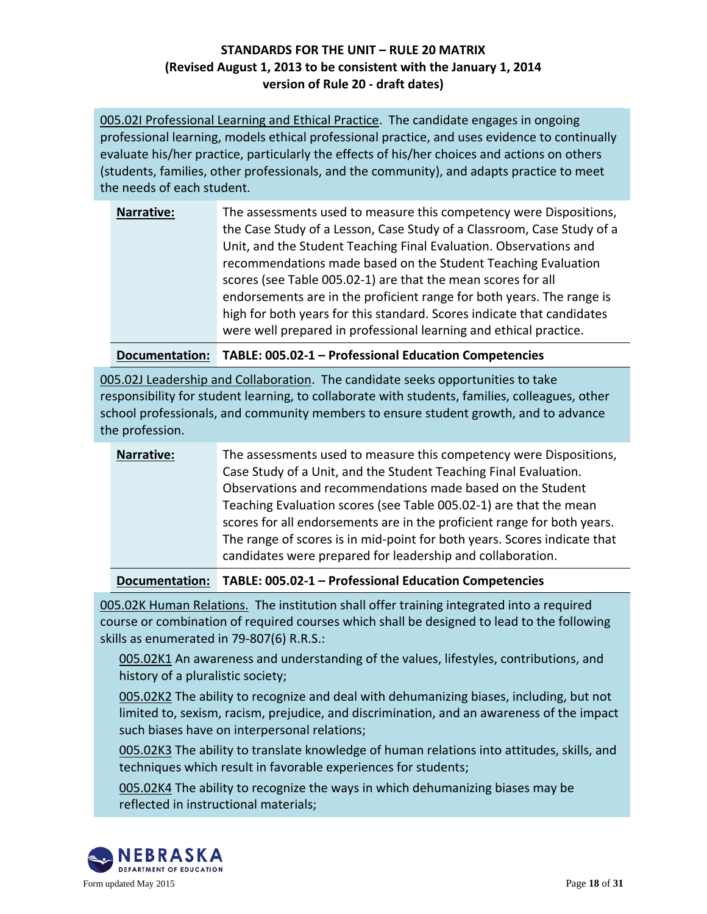005.02I Professional Learning and Ethical Practice. The candidate engages in ongoing professional learning, models ethical professional practice, and uses evidence to continually evaluate his/her practice, particularly the effects of his/her choices and actions on others (students, families, other professionals, and the community), and adapts practice to meet the needs of each student.

| <b>Narrative:</b> | The assessments used to measure this competency were Dispositions,<br>the Case Study of a Lesson, Case Study of a Classroom, Case Study of a<br>Unit, and the Student Teaching Final Evaluation. Observations and |
|-------------------|-------------------------------------------------------------------------------------------------------------------------------------------------------------------------------------------------------------------|
|                   | recommendations made based on the Student Teaching Evaluation                                                                                                                                                     |
|                   | scores (see Table 005.02-1) are that the mean scores for all                                                                                                                                                      |
|                   | endorsements are in the proficient range for both years. The range is                                                                                                                                             |
|                   | high for both years for this standard. Scores indicate that candidates                                                                                                                                            |
|                   | were well prepared in professional learning and ethical practice.                                                                                                                                                 |

**Documentation: TABLE: 005.02-1 – Professional Education Competencies**

005.02J Leadership and Collaboration. The candidate seeks opportunities to take responsibility for student learning, to collaborate with students, families, colleagues, other school professionals, and community members to ensure student growth, and to advance the profession.

| The assessments used to measure this competency were Dispositions,<br><b>Narrative:</b><br>Case Study of a Unit, and the Student Teaching Final Evaluation.<br>Observations and recommendations made based on the Student<br>Teaching Evaluation scores (see Table 005.02-1) are that the mean<br>scores for all endorsements are in the proficient range for both years.<br>The range of scores is in mid-point for both years. Scores indicate that<br>candidates were prepared for leadership and collaboration. |
|---------------------------------------------------------------------------------------------------------------------------------------------------------------------------------------------------------------------------------------------------------------------------------------------------------------------------------------------------------------------------------------------------------------------------------------------------------------------------------------------------------------------|
|---------------------------------------------------------------------------------------------------------------------------------------------------------------------------------------------------------------------------------------------------------------------------------------------------------------------------------------------------------------------------------------------------------------------------------------------------------------------------------------------------------------------|

**Documentation: TABLE: 005.02-1 – Professional Education Competencies**

005.02K Human Relations. The institution shall offer training integrated into a required course or combination of required courses which shall be designed to lead to the following skills as enumerated in 79-807(6) R.R.S.:

005.02K1 An awareness and understanding of the values, lifestyles, contributions, and history of a pluralistic society;

005.02K2 The ability to recognize and deal with dehumanizing biases, including, but not limited to, sexism, racism, prejudice, and discrimination, and an awareness of the impact such biases have on interpersonal relations;

005.02K3 The ability to translate knowledge of human relations into attitudes, skills, and techniques which result in favorable experiences for students;

005.02K4 The ability to recognize the ways in which dehumanizing biases may be reflected in instructional materials;

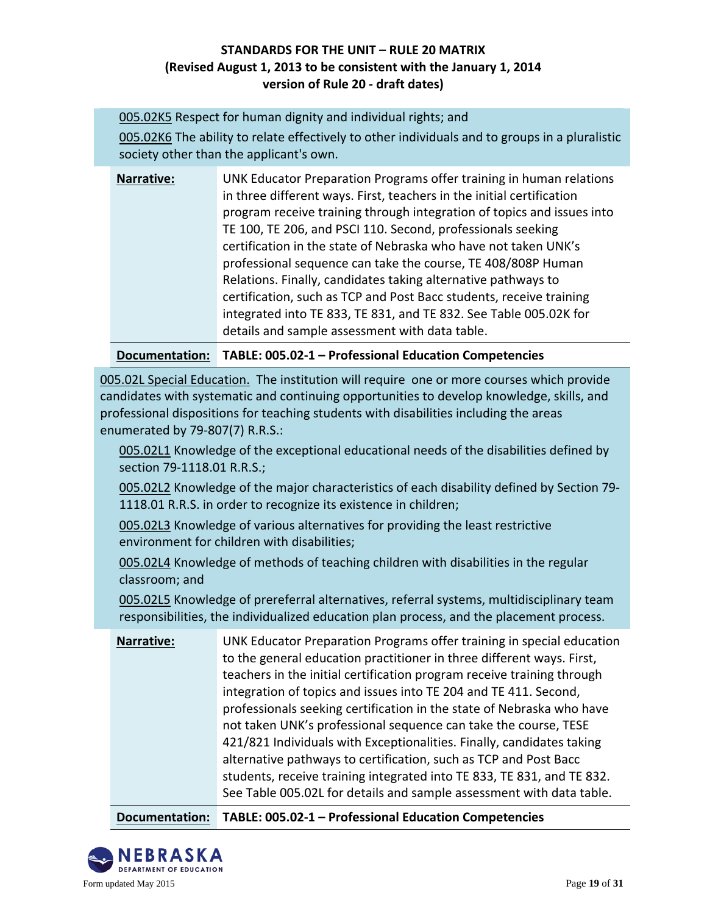005.02K5 Respect for human dignity and individual rights; and

005.02K6 The ability to relate effectively to other individuals and to groups in a pluralistic society other than the applicant's own.

| Narrative: | UNK Educator Preparation Programs offer training in human relations<br>in three different ways. First, teachers in the initial certification<br>program receive training through integration of topics and issues into<br>TE 100, TE 206, and PSCI 110. Second, professionals seeking<br>certification in the state of Nebraska who have not taken UNK's<br>professional sequence can take the course, TE 408/808P Human<br>Relations. Finally, candidates taking alternative pathways to<br>certification, such as TCP and Post Bacc students, receive training |
|------------|------------------------------------------------------------------------------------------------------------------------------------------------------------------------------------------------------------------------------------------------------------------------------------------------------------------------------------------------------------------------------------------------------------------------------------------------------------------------------------------------------------------------------------------------------------------|
|            | integrated into TE 833, TE 831, and TE 832. See Table 005.02K for<br>details and sample assessment with data table.                                                                                                                                                                                                                                                                                                                                                                                                                                              |

**Documentation: TABLE: 005.02-1 – Professional Education Competencies**

005.02L Special Education. The institution will require one or more courses which provide candidates with systematic and continuing opportunities to develop knowledge, skills, and professional dispositions for teaching students with disabilities including the areas enumerated by 79-807(7) R.R.S.:

005.02L1 Knowledge of the exceptional educational needs of the disabilities defined by section 79-1118.01 R.R.S.;

005.02L2 Knowledge of the major characteristics of each disability defined by Section 79- 1118.01 R.R.S. in order to recognize its existence in children;

005.02L3 Knowledge of various alternatives for providing the least restrictive environment for children with disabilities;

005.02L4 Knowledge of methods of teaching children with disabilities in the regular classroom; and

005.02L5 Knowledge of prereferral alternatives, referral systems, multidisciplinary team responsibilities, the individualized education plan process, and the placement process.

| Narrative: | UNK Educator Preparation Programs offer training in special education<br>to the general education practitioner in three different ways. First,<br>teachers in the initial certification program receive training through<br>integration of topics and issues into TE 204 and TE 411. Second,<br>professionals seeking certification in the state of Nebraska who have<br>not taken UNK's professional sequence can take the course, TESE<br>421/821 Individuals with Exceptionalities. Finally, candidates taking<br>alternative pathways to certification, such as TCP and Post Bacc<br>students, receive training integrated into TE 833, TE 831, and TE 832.<br>See Table 005.02L for details and sample assessment with data table. |
|------------|-----------------------------------------------------------------------------------------------------------------------------------------------------------------------------------------------------------------------------------------------------------------------------------------------------------------------------------------------------------------------------------------------------------------------------------------------------------------------------------------------------------------------------------------------------------------------------------------------------------------------------------------------------------------------------------------------------------------------------------------|
|            |                                                                                                                                                                                                                                                                                                                                                                                                                                                                                                                                                                                                                                                                                                                                         |

**Documentation: TABLE: 005.02-1 – Professional Education Competencies**

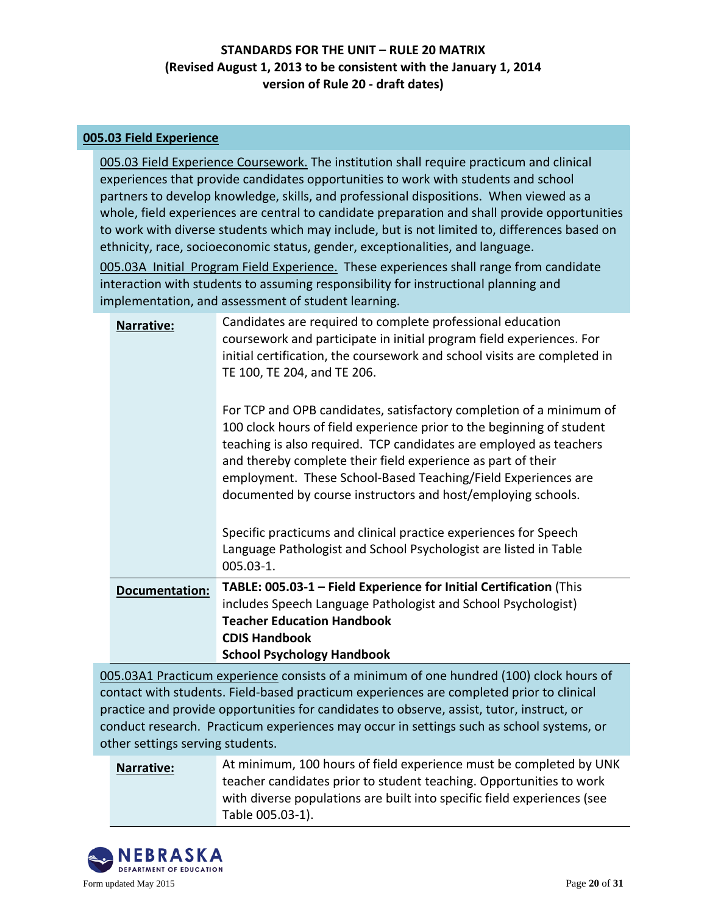#### **005.03 Field Experience**

005.03 Field Experience Coursework. The institution shall require practicum and clinical experiences that provide candidates opportunities to work with students and school partners to develop knowledge, skills, and professional dispositions. When viewed as a whole, field experiences are central to candidate preparation and shall provide opportunities to work with diverse students which may include, but is not limited to, differences based on ethnicity, race, socioeconomic status, gender, exceptionalities, and language.

005.03A Initial Program Field Experience. These experiences shall range from candidate interaction with students to assuming responsibility for instructional planning and implementation, and assessment of student learning.

| Narrative:            | Candidates are required to complete professional education                                                                                                                                                                                                                                                                                                                                                          |
|-----------------------|---------------------------------------------------------------------------------------------------------------------------------------------------------------------------------------------------------------------------------------------------------------------------------------------------------------------------------------------------------------------------------------------------------------------|
|                       | coursework and participate in initial program field experiences. For<br>initial certification, the coursework and school visits are completed in<br>TE 100, TE 204, and TE 206.                                                                                                                                                                                                                                     |
|                       | For TCP and OPB candidates, satisfactory completion of a minimum of<br>100 clock hours of field experience prior to the beginning of student<br>teaching is also required. TCP candidates are employed as teachers<br>and thereby complete their field experience as part of their<br>employment. These School-Based Teaching/Field Experiences are<br>documented by course instructors and host/employing schools. |
|                       | Specific practicums and clinical practice experiences for Speech<br>Language Pathologist and School Psychologist are listed in Table<br>$005.03 - 1.$                                                                                                                                                                                                                                                               |
| <b>Documentation:</b> | TABLE: 005.03-1 - Field Experience for Initial Certification (This<br>includes Speech Language Pathologist and School Psychologist)<br><b>Teacher Education Handbook</b><br><b>CDIS Handbook</b><br><b>School Psychology Handbook</b>                                                                                                                                                                               |
|                       | $\epsilon$ and $\epsilon$ is the set of $\epsilon$                                                                                                                                                                                                                                                                                                                                                                  |

005.03A1 Practicum experience consists of a minimum of one hundred (100) clock hours of contact with students. Field-based practicum experiences are completed prior to clinical practice and provide opportunities for candidates to observe, assist, tutor, instruct, or conduct research. Practicum experiences may occur in settings such as school systems, or other settings serving students.

| Narrative: | At minimum, 100 hours of field experience must be completed by UNK      |
|------------|-------------------------------------------------------------------------|
|            | teacher candidates prior to student teaching. Opportunities to work     |
|            | with diverse populations are built into specific field experiences (see |
|            | Table 005.03-1).                                                        |

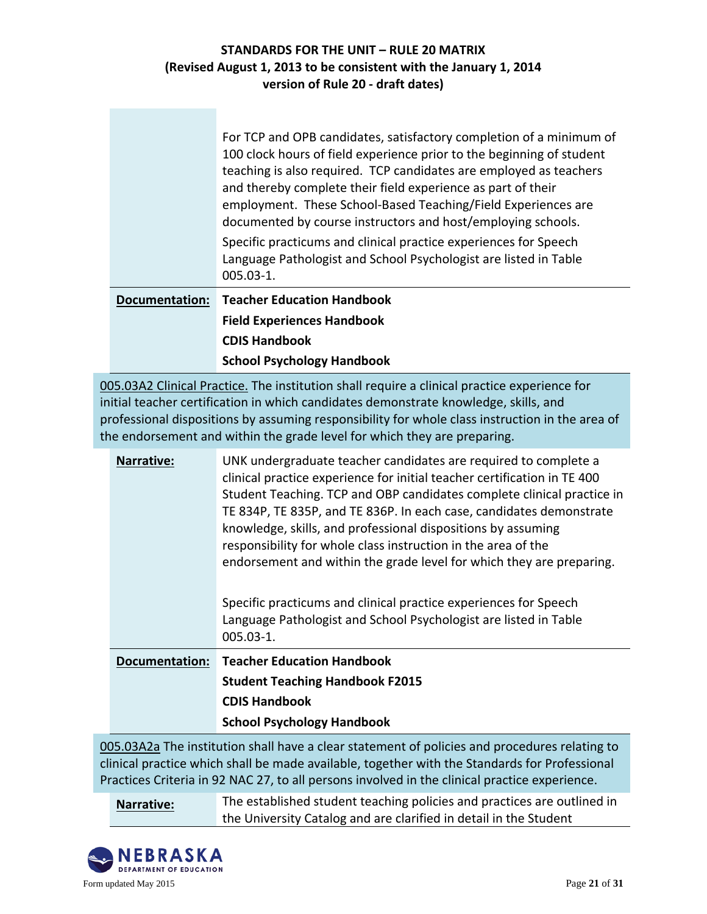|                       | For TCP and OPB candidates, satisfactory completion of a minimum of<br>100 clock hours of field experience prior to the beginning of student<br>teaching is also required. TCP candidates are employed as teachers<br>and thereby complete their field experience as part of their<br>employment. These School-Based Teaching/Field Experiences are<br>documented by course instructors and host/employing schools.<br>Specific practicums and clinical practice experiences for Speech<br>Language Pathologist and School Psychologist are listed in Table<br>005.03-1. |
|-----------------------|--------------------------------------------------------------------------------------------------------------------------------------------------------------------------------------------------------------------------------------------------------------------------------------------------------------------------------------------------------------------------------------------------------------------------------------------------------------------------------------------------------------------------------------------------------------------------|
| <b>Documentation:</b> | <b>Teacher Education Handbook</b>                                                                                                                                                                                                                                                                                                                                                                                                                                                                                                                                        |
|                       | <b>Field Experiences Handbook</b>                                                                                                                                                                                                                                                                                                                                                                                                                                                                                                                                        |
|                       | <b>CDIS Handbook</b>                                                                                                                                                                                                                                                                                                                                                                                                                                                                                                                                                     |
|                       | <b>School Psychology Handbook</b>                                                                                                                                                                                                                                                                                                                                                                                                                                                                                                                                        |

005.03A2 Clinical Practice. The institution shall require a clinical practice experience for initial teacher certification in which candidates demonstrate knowledge, skills, and professional dispositions by assuming responsibility for whole class instruction in the area of the endorsement and within the grade level for which they are preparing.

| Narrative:            | UNK undergraduate teacher candidates are required to complete a<br>clinical practice experience for initial teacher certification in TE 400<br>Student Teaching. TCP and OBP candidates complete clinical practice in<br>TE 834P, TE 835P, and TE 836P. In each case, candidates demonstrate<br>knowledge, skills, and professional dispositions by assuming<br>responsibility for whole class instruction in the area of the<br>endorsement and within the grade level for which they are preparing. |
|-----------------------|-------------------------------------------------------------------------------------------------------------------------------------------------------------------------------------------------------------------------------------------------------------------------------------------------------------------------------------------------------------------------------------------------------------------------------------------------------------------------------------------------------|
|                       | Specific practicums and clinical practice experiences for Speech<br>Language Pathologist and School Psychologist are listed in Table<br>$005.03 - 1.$                                                                                                                                                                                                                                                                                                                                                 |
| <b>Documentation:</b> | <b>Teacher Education Handbook</b>                                                                                                                                                                                                                                                                                                                                                                                                                                                                     |
|                       | <b>Student Teaching Handbook F2015</b>                                                                                                                                                                                                                                                                                                                                                                                                                                                                |
|                       | <b>CDIS Handbook</b>                                                                                                                                                                                                                                                                                                                                                                                                                                                                                  |
|                       | <b>School Psychology Handbook</b>                                                                                                                                                                                                                                                                                                                                                                                                                                                                     |

005.03A2a The institution shall have a clear statement of policies and procedures relating to clinical practice which shall be made available, together with the Standards for Professional Practices Criteria in 92 NAC 27, to all persons involved in the clinical practice experience.

**Narrative:** The established student teaching policies and practices are outlined in the University Catalog and are clarified in detail in the Student

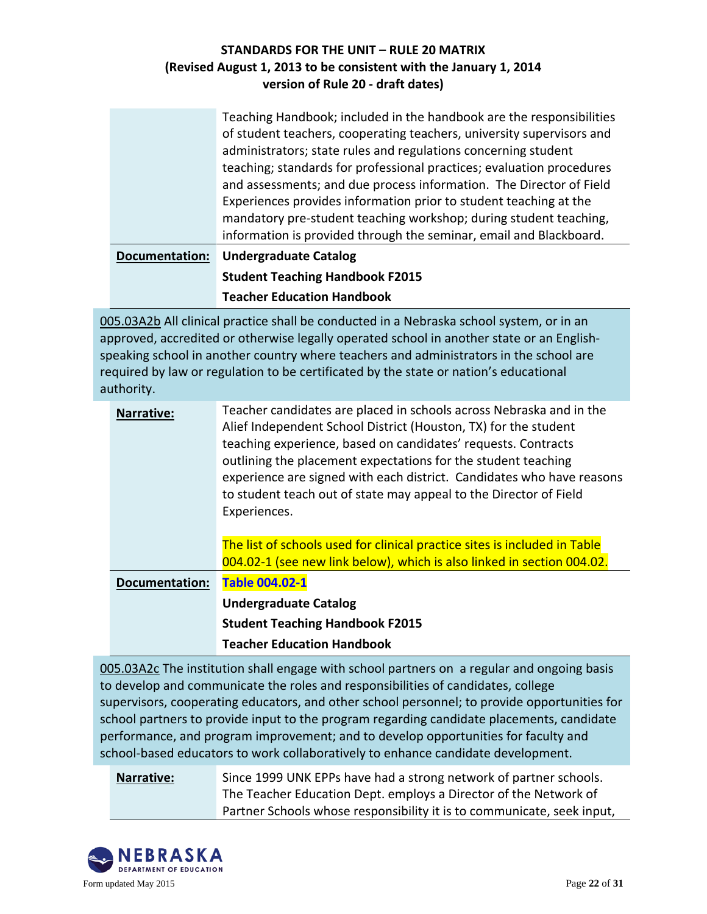|                       | Teaching Handbook; included in the handbook are the responsibilities  |
|-----------------------|-----------------------------------------------------------------------|
|                       | of student teachers, cooperating teachers, university supervisors and |
|                       | administrators; state rules and regulations concerning student        |
|                       | teaching; standards for professional practices; evaluation procedures |
|                       | and assessments; and due process information. The Director of Field   |
|                       | Experiences provides information prior to student teaching at the     |
|                       | mandatory pre-student teaching workshop; during student teaching,     |
|                       | information is provided through the seminar, email and Blackboard.    |
| <b>Documentation:</b> | <b>Undergraduate Catalog</b>                                          |
|                       | <b>Student Teaching Handbook F2015</b>                                |
|                       | <b>Teacher Education Handbook</b>                                     |

005.03A2b All clinical practice shall be conducted in a Nebraska school system, or in an approved, accredited or otherwise legally operated school in another state or an Englishspeaking school in another country where teachers and administrators in the school are required by law or regulation to be certificated by the state or nation's educational authority.

| Narrative:            | Teacher candidates are placed in schools across Nebraska and in the<br>Alief Independent School District (Houston, TX) for the student<br>teaching experience, based on candidates' requests. Contracts<br>outlining the placement expectations for the student teaching<br>experience are signed with each district. Candidates who have reasons<br>to student teach out of state may appeal to the Director of Field<br>Experiences. |
|-----------------------|----------------------------------------------------------------------------------------------------------------------------------------------------------------------------------------------------------------------------------------------------------------------------------------------------------------------------------------------------------------------------------------------------------------------------------------|
|                       | The list of schools used for clinical practice sites is included in Table<br>004.02-1 (see new link below), which is also linked in section 004.02.                                                                                                                                                                                                                                                                                    |
| <b>Documentation:</b> | <b>Table 004.02-1</b>                                                                                                                                                                                                                                                                                                                                                                                                                  |
|                       | <b>Undergraduate Catalog</b>                                                                                                                                                                                                                                                                                                                                                                                                           |
|                       | <b>Student Teaching Handbook F2015</b>                                                                                                                                                                                                                                                                                                                                                                                                 |
|                       | <b>Teacher Education Handbook</b>                                                                                                                                                                                                                                                                                                                                                                                                      |

005.03A2c The institution shall engage with school partners on a regular and ongoing basis to develop and communicate the roles and responsibilities of candidates, college supervisors, cooperating educators, and other school personnel; to provide opportunities for school partners to provide input to the program regarding candidate placements, candidate performance, and program improvement; and to develop opportunities for faculty and school-based educators to work collaboratively to enhance candidate development.

## **Narrative:** Since 1999 UNK EPPs have had a strong network of partner schools. The Teacher Education Dept. employs a Director of the Network of Partner Schools whose responsibility it is to communicate, seek input,

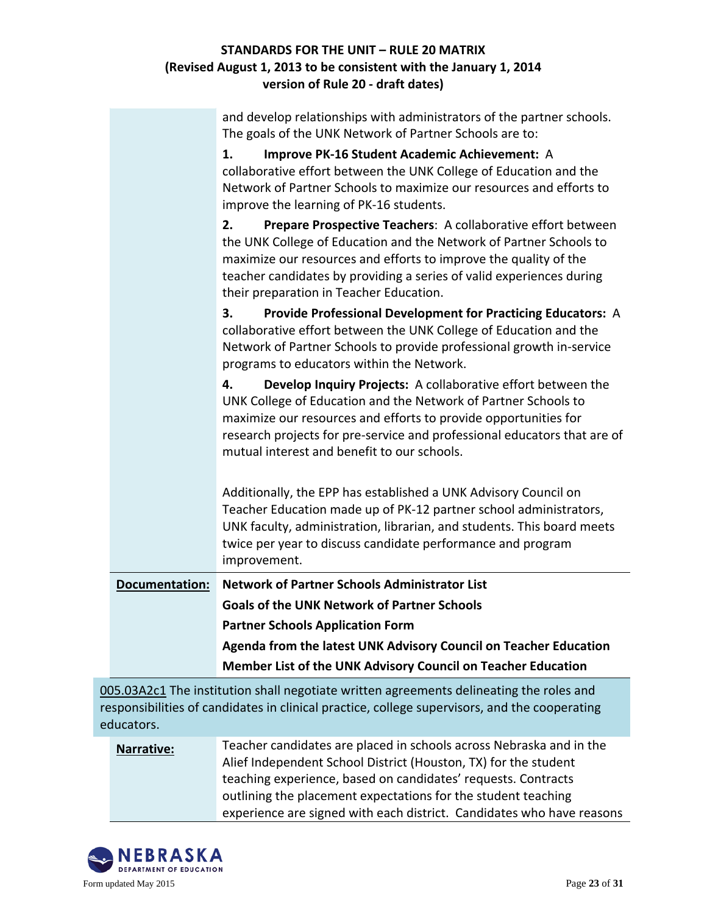| and develop relationships with administrators of the partner schools. |  |
|-----------------------------------------------------------------------|--|
| The goals of the UNK Network of Partner Schools are to:               |  |

|                       | 1.<br>Improve PK-16 Student Academic Achievement: A                                                                                                                                                                                                                                                                                |
|-----------------------|------------------------------------------------------------------------------------------------------------------------------------------------------------------------------------------------------------------------------------------------------------------------------------------------------------------------------------|
|                       | collaborative effort between the UNK College of Education and the                                                                                                                                                                                                                                                                  |
|                       | Network of Partner Schools to maximize our resources and efforts to                                                                                                                                                                                                                                                                |
|                       | improve the learning of PK-16 students.                                                                                                                                                                                                                                                                                            |
|                       | 2.<br>Prepare Prospective Teachers: A collaborative effort between<br>the UNK College of Education and the Network of Partner Schools to<br>maximize our resources and efforts to improve the quality of the<br>teacher candidates by providing a series of valid experiences during<br>their preparation in Teacher Education.    |
|                       | Provide Professional Development for Practicing Educators: A<br>3.<br>collaborative effort between the UNK College of Education and the<br>Network of Partner Schools to provide professional growth in-service<br>programs to educators within the Network.                                                                       |
|                       | Develop Inquiry Projects: A collaborative effort between the<br>4.<br>UNK College of Education and the Network of Partner Schools to<br>maximize our resources and efforts to provide opportunities for<br>research projects for pre-service and professional educators that are of<br>mutual interest and benefit to our schools. |
|                       | Additionally, the EPP has established a UNK Advisory Council on<br>Teacher Education made up of PK-12 partner school administrators,<br>UNK faculty, administration, librarian, and students. This board meets<br>twice per year to discuss candidate performance and program<br>improvement.                                      |
| <b>Documentation:</b> | <b>Network of Partner Schools Administrator List</b>                                                                                                                                                                                                                                                                               |
|                       | <b>Goals of the UNK Network of Partner Schools</b>                                                                                                                                                                                                                                                                                 |
|                       | <b>Partner Schools Application Form</b>                                                                                                                                                                                                                                                                                            |
|                       | Agenda from the latest UNK Advisory Council on Teacher Education                                                                                                                                                                                                                                                                   |
|                       | Member List of the UNK Advisory Council on Teacher Education                                                                                                                                                                                                                                                                       |
|                       |                                                                                                                                                                                                                                                                                                                                    |

005.03A2c1 The institution shall negotiate written agreements delineating the roles and responsibilities of candidates in clinical practice, college supervisors, and the cooperating educators.

## **Narrative:** Teacher candidates are placed in schools across Nebraska and in the Alief Independent School District (Houston, TX) for the student teaching experience, based on candidates' requests. Contracts outlining the placement expectations for the student teaching experience are signed with each district. Candidates who have reasons

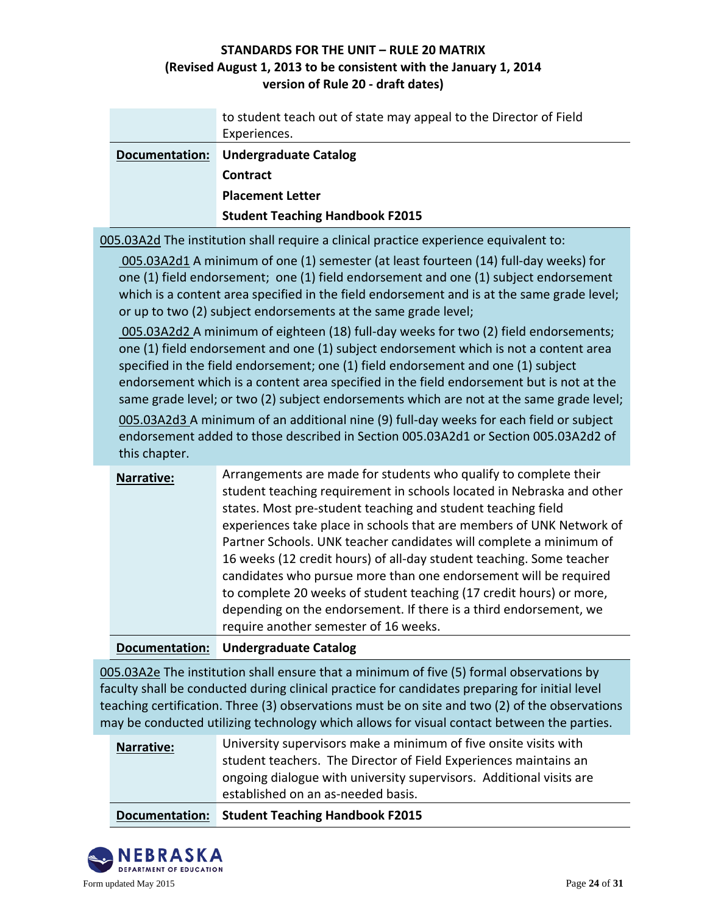|                | to student teach out of state may appeal to the Director of Field<br>Experiences. |
|----------------|-----------------------------------------------------------------------------------|
| Documentation: | <b>Undergraduate Catalog</b>                                                      |
|                | <b>Contract</b>                                                                   |
|                | <b>Placement Letter</b>                                                           |
|                | <b>Student Teaching Handbook F2015</b>                                            |

005.03A2d The institution shall require a clinical practice experience equivalent to:

005.03A2d1 A minimum of one (1) semester (at least fourteen (14) full-day weeks) for one (1) field endorsement; one (1) field endorsement and one (1) subject endorsement which is a content area specified in the field endorsement and is at the same grade level; or up to two (2) subject endorsements at the same grade level;

005.03A2d2 A minimum of eighteen (18) full-day weeks for two (2) field endorsements; one (1) field endorsement and one (1) subject endorsement which is not a content area specified in the field endorsement; one (1) field endorsement and one (1) subject endorsement which is a content area specified in the field endorsement but is not at the same grade level; or two (2) subject endorsements which are not at the same grade level;

005.03A2d3 A minimum of an additional nine (9) full-day weeks for each field or subject endorsement added to those described in Section 005.03A2d1 or Section 005.03A2d2 of this chapter.

| Narrative: | Arrangements are made for students who qualify to complete their<br>student teaching requirement in schools located in Nebraska and other<br>states. Most pre-student teaching and student teaching field<br>experiences take place in schools that are members of UNK Network of<br>Partner Schools. UNK teacher candidates will complete a minimum of<br>16 weeks (12 credit hours) of all-day student teaching. Some teacher<br>candidates who pursue more than one endorsement will be required<br>to complete 20 weeks of student teaching (17 credit hours) or more,<br>depending on the endorsement. If there is a third endorsement, we<br>require another semester of 16 weeks. |
|------------|------------------------------------------------------------------------------------------------------------------------------------------------------------------------------------------------------------------------------------------------------------------------------------------------------------------------------------------------------------------------------------------------------------------------------------------------------------------------------------------------------------------------------------------------------------------------------------------------------------------------------------------------------------------------------------------|
|            |                                                                                                                                                                                                                                                                                                                                                                                                                                                                                                                                                                                                                                                                                          |

**Documentation: [Undergraduate Catalog](http://aaunk.unk.edu/catalogs/16-17cat/ac/acedap.asp#studentteach)**

005.03A2e The institution shall ensure that a minimum of five (5) formal observations by faculty shall be conducted during clinical practice for candidates preparing for initial level teaching certification. Three (3) observations must be on site and two (2) of the observations may be conducted utilizing technology which allows for visual contact between the parties.

| Documentation:    | <b>Student Teaching Handbook F2015</b>                              |
|-------------------|---------------------------------------------------------------------|
|                   | established on an as-needed basis.                                  |
|                   | ongoing dialogue with university supervisors. Additional visits are |
|                   | student teachers. The Director of Field Experiences maintains an    |
| <b>Narrative:</b> | University supervisors make a minimum of five onsite visits with    |

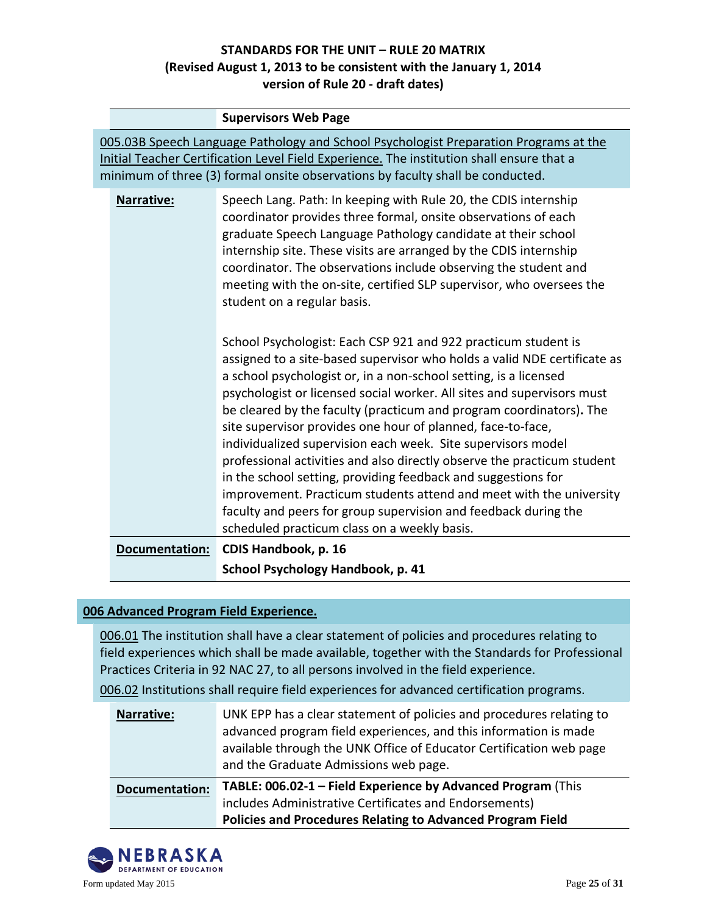|                                                                                                                                                                                                                                                                      | <b>Supervisors Web Page</b>                                                                                                                                                                                                                                                                                                                                                                                                                                                                                                                                                                                                                                                                                                                                                                                                          |  |
|----------------------------------------------------------------------------------------------------------------------------------------------------------------------------------------------------------------------------------------------------------------------|--------------------------------------------------------------------------------------------------------------------------------------------------------------------------------------------------------------------------------------------------------------------------------------------------------------------------------------------------------------------------------------------------------------------------------------------------------------------------------------------------------------------------------------------------------------------------------------------------------------------------------------------------------------------------------------------------------------------------------------------------------------------------------------------------------------------------------------|--|
| 005.03B Speech Language Pathology and School Psychologist Preparation Programs at the<br>Initial Teacher Certification Level Field Experience. The institution shall ensure that a<br>minimum of three (3) formal onsite observations by faculty shall be conducted. |                                                                                                                                                                                                                                                                                                                                                                                                                                                                                                                                                                                                                                                                                                                                                                                                                                      |  |
| Narrative:                                                                                                                                                                                                                                                           | Speech Lang. Path: In keeping with Rule 20, the CDIS internship<br>coordinator provides three formal, onsite observations of each<br>graduate Speech Language Pathology candidate at their school<br>internship site. These visits are arranged by the CDIS internship<br>coordinator. The observations include observing the student and<br>meeting with the on-site, certified SLP supervisor, who oversees the<br>student on a regular basis.                                                                                                                                                                                                                                                                                                                                                                                     |  |
|                                                                                                                                                                                                                                                                      | School Psychologist: Each CSP 921 and 922 practicum student is<br>assigned to a site-based supervisor who holds a valid NDE certificate as<br>a school psychologist or, in a non-school setting, is a licensed<br>psychologist or licensed social worker. All sites and supervisors must<br>be cleared by the faculty (practicum and program coordinators). The<br>site supervisor provides one hour of planned, face-to-face,<br>individualized supervision each week. Site supervisors model<br>professional activities and also directly observe the practicum student<br>in the school setting, providing feedback and suggestions for<br>improvement. Practicum students attend and meet with the university<br>faculty and peers for group supervision and feedback during the<br>scheduled practicum class on a weekly basis. |  |
| <b>Documentation:</b>                                                                                                                                                                                                                                                | CDIS Handbook, p. 16                                                                                                                                                                                                                                                                                                                                                                                                                                                                                                                                                                                                                                                                                                                                                                                                                 |  |
|                                                                                                                                                                                                                                                                      | School Psychology Handbook, p. 41                                                                                                                                                                                                                                                                                                                                                                                                                                                                                                                                                                                                                                                                                                                                                                                                    |  |

## **006 Advanced Program Field Experience.**

006.01 The institution shall have a clear statement of policies and procedures relating to field experiences which shall be made available, together with the Standards for Professional Practices Criteria in 92 NAC 27, to all persons involved in the field experience.

006.02 Institutions shall require field experiences for advanced certification programs.

| <b>Narrative:</b>     | UNK EPP has a clear statement of policies and procedures relating to<br>advanced program field experiences, and this information is made<br>available through the UNK Office of Educator Certification web page<br>and the Graduate Admissions web page. |
|-----------------------|----------------------------------------------------------------------------------------------------------------------------------------------------------------------------------------------------------------------------------------------------------|
| <b>Documentation:</b> | TABLE: 006.02-1 - Field Experience by Advanced Program (This<br>includes Administrative Certificates and Endorsements)<br><b>Policies and Procedures Relating to Advanced Program Field</b>                                                              |

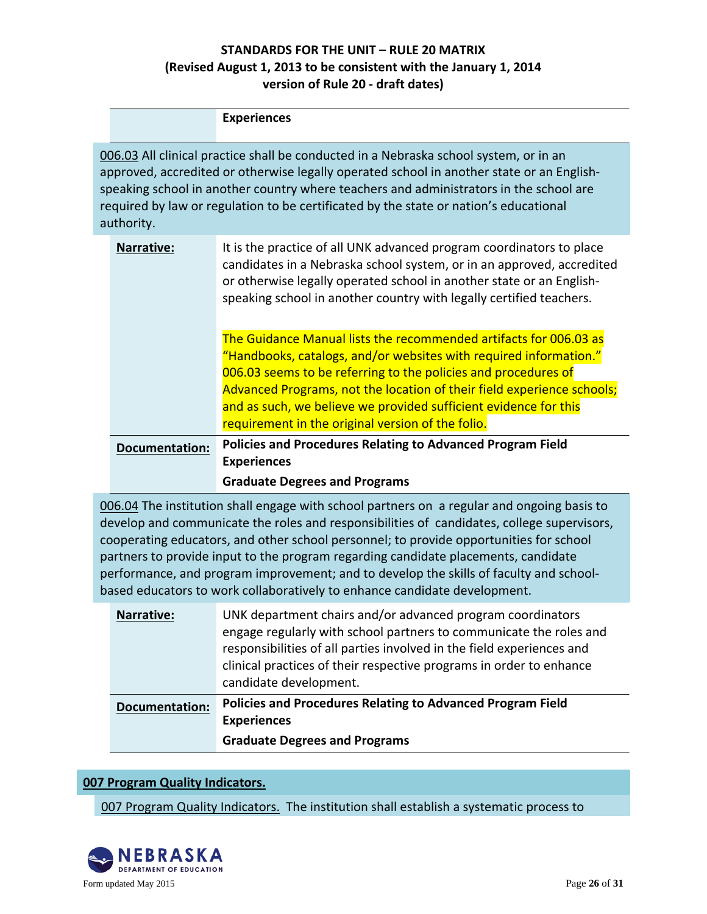|                                                                                                                                                                                                                                                                                                                                                                                     |                       | <b>Experiences</b>                                                                                                                                                                                                                                                                                                                                                                                          |
|-------------------------------------------------------------------------------------------------------------------------------------------------------------------------------------------------------------------------------------------------------------------------------------------------------------------------------------------------------------------------------------|-----------------------|-------------------------------------------------------------------------------------------------------------------------------------------------------------------------------------------------------------------------------------------------------------------------------------------------------------------------------------------------------------------------------------------------------------|
| 006.03 All clinical practice shall be conducted in a Nebraska school system, or in an<br>approved, accredited or otherwise legally operated school in another state or an English-<br>speaking school in another country where teachers and administrators in the school are<br>required by law or regulation to be certificated by the state or nation's educational<br>authority. |                       |                                                                                                                                                                                                                                                                                                                                                                                                             |
|                                                                                                                                                                                                                                                                                                                                                                                     | Narrative:            | It is the practice of all UNK advanced program coordinators to place<br>candidates in a Nebraska school system, or in an approved, accredited<br>or otherwise legally operated school in another state or an English-<br>speaking school in another country with legally certified teachers.                                                                                                                |
|                                                                                                                                                                                                                                                                                                                                                                                     |                       | The Guidance Manual lists the recommended artifacts for 006.03 as<br>"Handbooks, catalogs, and/or websites with required information."<br>006.03 seems to be referring to the policies and procedures of<br>Advanced Programs, not the location of their field experience schools;<br>and as such, we believe we provided sufficient evidence for this<br>requirement in the original version of the folio. |
|                                                                                                                                                                                                                                                                                                                                                                                     | <b>Documentation:</b> | <b>Policies and Procedures Relating to Advanced Program Field</b><br><b>Experiences</b>                                                                                                                                                                                                                                                                                                                     |
|                                                                                                                                                                                                                                                                                                                                                                                     |                       | <b>Graduate Degrees and Programs</b>                                                                                                                                                                                                                                                                                                                                                                        |
| 006.04 The institution shall engage with school partners on a regular and ongoing basis to                                                                                                                                                                                                                                                                                          |                       |                                                                                                                                                                                                                                                                                                                                                                                                             |

develop and communicate the roles and responsibilities of candidates, college supervisors, cooperating educators, and other school personnel; to provide opportunities for school partners to provide input to the program regarding candidate placements, candidate performance, and program improvement; and to develop the skills of faculty and schoolbased educators to work collaboratively to enhance candidate development.

| <b>Narrative:</b>     | UNK department chairs and/or advanced program coordinators<br>engage regularly with school partners to communicate the roles and<br>responsibilities of all parties involved in the field experiences and<br>clinical practices of their respective programs in order to enhance<br>candidate development. |
|-----------------------|------------------------------------------------------------------------------------------------------------------------------------------------------------------------------------------------------------------------------------------------------------------------------------------------------------|
| <b>Documentation:</b> | <b>Policies and Procedures Relating to Advanced Program Field</b><br><b>Experiences</b><br><b>Graduate Degrees and Programs</b>                                                                                                                                                                            |
|                       |                                                                                                                                                                                                                                                                                                            |

#### **007 Program Quality Indicators.**

007 Program Quality Indicators. The institution shall establish a systematic process to

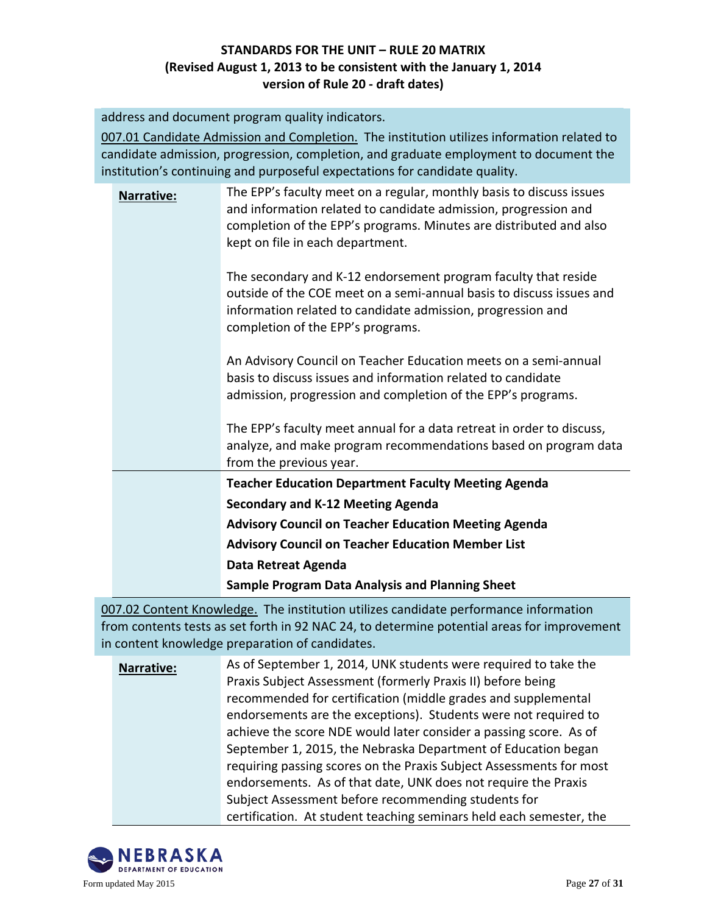address and document program quality indicators.

007.01 Candidate Admission and Completion. The institution utilizes information related to candidate admission, progression, completion, and graduate employment to document the institution's continuing and purposeful expectations for candidate quality.

|                   | <b>Secondary and K-12 Meeting Agenda</b><br><b>Advisory Council on Teacher Education Meeting Agenda</b><br><b>Advisory Council on Teacher Education Member List</b>                                                                               |
|-------------------|---------------------------------------------------------------------------------------------------------------------------------------------------------------------------------------------------------------------------------------------------|
|                   | <b>Teacher Education Department Faculty Meeting Agenda</b>                                                                                                                                                                                        |
|                   | The EPP's faculty meet annual for a data retreat in order to discuss,<br>analyze, and make program recommendations based on program data<br>from the previous year.                                                                               |
|                   | An Advisory Council on Teacher Education meets on a semi-annual<br>basis to discuss issues and information related to candidate<br>admission, progression and completion of the EPP's programs.                                                   |
|                   | The secondary and K-12 endorsement program faculty that reside<br>outside of the COE meet on a semi-annual basis to discuss issues and<br>information related to candidate admission, progression and<br>completion of the EPP's programs.        |
| <b>Narrative:</b> | The EPP's faculty meet on a regular, monthly basis to discuss issues<br>and information related to candidate admission, progression and<br>completion of the EPP's programs. Minutes are distributed and also<br>kept on file in each department. |

007.02 Content Knowledge. The institution utilizes candidate performance information from contents tests as set forth in 92 NAC 24, to determine potential areas for improvement in content knowledge preparation of candidates.

**Narrative:** As of September 1, 2014, UNK students were required to take the Praxis Subject Assessment (formerly Praxis II) before being recommended for certification (middle grades and supplemental endorsements are the exceptions). Students were not required to achieve the score NDE would later consider a passing score. As of September 1, 2015, the Nebraska Department of Education began requiring passing scores on the Praxis Subject Assessments for most endorsements. As of that date, UNK does not require the Praxis Subject Assessment before recommending students for certification. At student teaching seminars held each semester, the

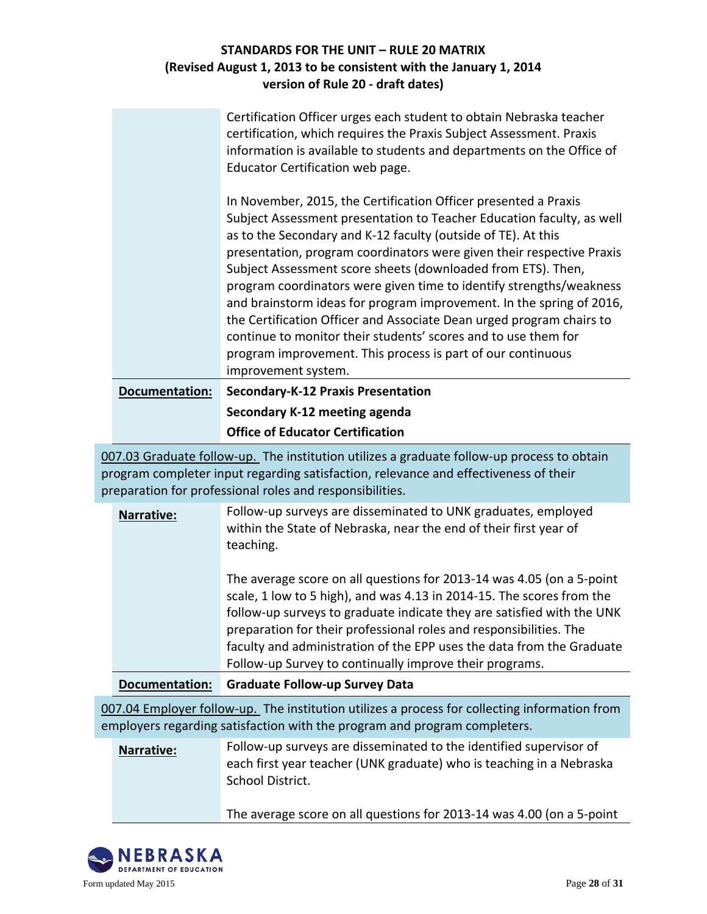|                       | Certification Officer urges each student to obtain Nebraska teacher<br>certification, which requires the Praxis Subject Assessment. Praxis<br>information is available to students and departments on the Office of<br>Educator Certification web page.                                                                                                                                                                                                                                                                                                                                                                                                                                                    |
|-----------------------|------------------------------------------------------------------------------------------------------------------------------------------------------------------------------------------------------------------------------------------------------------------------------------------------------------------------------------------------------------------------------------------------------------------------------------------------------------------------------------------------------------------------------------------------------------------------------------------------------------------------------------------------------------------------------------------------------------|
|                       | In November, 2015, the Certification Officer presented a Praxis<br>Subject Assessment presentation to Teacher Education faculty, as well<br>as to the Secondary and K-12 faculty (outside of TE). At this<br>presentation, program coordinators were given their respective Praxis<br>Subject Assessment score sheets (downloaded from ETS). Then,<br>program coordinators were given time to identify strengths/weakness<br>and brainstorm ideas for program improvement. In the spring of 2016,<br>the Certification Officer and Associate Dean urged program chairs to<br>continue to monitor their students' scores and to use them for<br>program improvement. This process is part of our continuous |
|                       | improvement system.                                                                                                                                                                                                                                                                                                                                                                                                                                                                                                                                                                                                                                                                                        |
| <b>Documentation:</b> | <b>Secondary-K-12 Praxis Presentation</b>                                                                                                                                                                                                                                                                                                                                                                                                                                                                                                                                                                                                                                                                  |
|                       | Secondary K-12 meeting agenda                                                                                                                                                                                                                                                                                                                                                                                                                                                                                                                                                                                                                                                                              |
|                       | <b>Office of Educator Certification</b>                                                                                                                                                                                                                                                                                                                                                                                                                                                                                                                                                                                                                                                                    |

007.03 Graduate follow-up. The institution utilizes a graduate follow-up process to obtain program completer input regarding satisfaction, relevance and effectiveness of their preparation for professional roles and responsibilities.

| Narrative:                                                                                                                                                                 | Follow-up surveys are disseminated to UNK graduates, employed<br>within the State of Nebraska, near the end of their first year of<br>teaching.<br>The average score on all questions for 2013-14 was 4.05 (on a 5-point<br>scale, 1 low to 5 high), and was 4.13 in 2014-15. The scores from the<br>follow-up surveys to graduate indicate they are satisfied with the UNK<br>preparation for their professional roles and responsibilities. The<br>faculty and administration of the EPP uses the data from the Graduate<br>Follow-up Survey to continually improve their programs. |
|----------------------------------------------------------------------------------------------------------------------------------------------------------------------------|---------------------------------------------------------------------------------------------------------------------------------------------------------------------------------------------------------------------------------------------------------------------------------------------------------------------------------------------------------------------------------------------------------------------------------------------------------------------------------------------------------------------------------------------------------------------------------------|
| <b>Documentation:</b>                                                                                                                                                      | <b>Graduate Follow-up Survey Data</b>                                                                                                                                                                                                                                                                                                                                                                                                                                                                                                                                                 |
| 007.04 Employer follow-up. The institution utilizes a process for collecting information from<br>employers regarding satisfaction with the program and program completers. |                                                                                                                                                                                                                                                                                                                                                                                                                                                                                                                                                                                       |
| Narrative:                                                                                                                                                                 | Follow-up surveys are disseminated to the identified supervisor of<br>each first year teacher (UNK graduate) who is teaching in a Nebraska                                                                                                                                                                                                                                                                                                                                                                                                                                            |

School District.

The average score on all questions for 2013-14 was 4.00 (on a 5-point

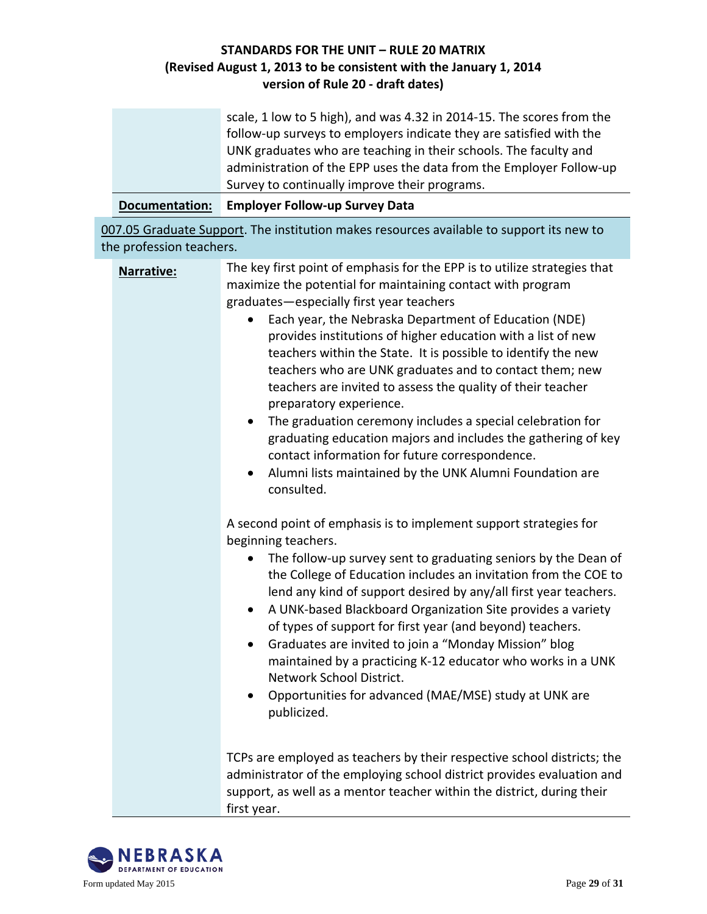| scale, 1 low to 5 high), and was 4.32 in 2014-15. The scores from the |
|-----------------------------------------------------------------------|
| follow-up surveys to employers indicate they are satisfied with the   |
| UNK graduates who are teaching in their schools. The faculty and      |
| administration of the EPP uses the data from the Employer Follow-up   |
| Survey to continually improve their programs.                         |
|                                                                       |

**Documentation: Employer Follow-up Survey Data**

007.05 Graduate Support. The institution makes resources available to support its new to the profession teachers.

| Narrative: | The key first point of emphasis for the EPP is to utilize strategies that<br>maximize the potential for maintaining contact with program<br>graduates-especially first year teachers<br>Each year, the Nebraska Department of Education (NDE)<br>provides institutions of higher education with a list of new<br>teachers within the State. It is possible to identify the new<br>teachers who are UNK graduates and to contact them; new<br>teachers are invited to assess the quality of their teacher<br>preparatory experience.<br>The graduation ceremony includes a special celebration for<br>$\bullet$<br>graduating education majors and includes the gathering of key<br>contact information for future correspondence.<br>Alumni lists maintained by the UNK Alumni Foundation are<br>$\bullet$<br>consulted. |
|------------|--------------------------------------------------------------------------------------------------------------------------------------------------------------------------------------------------------------------------------------------------------------------------------------------------------------------------------------------------------------------------------------------------------------------------------------------------------------------------------------------------------------------------------------------------------------------------------------------------------------------------------------------------------------------------------------------------------------------------------------------------------------------------------------------------------------------------|
|            | A second point of emphasis is to implement support strategies for<br>beginning teachers.<br>The follow-up survey sent to graduating seniors by the Dean of<br>$\bullet$<br>the College of Education includes an invitation from the COE to<br>lend any kind of support desired by any/all first year teachers.<br>A UNK-based Blackboard Organization Site provides a variety<br>$\bullet$<br>of types of support for first year (and beyond) teachers.<br>Graduates are invited to join a "Monday Mission" blog<br>$\bullet$<br>maintained by a practicing K-12 educator who works in a UNK<br>Network School District.<br>Opportunities for advanced (MAE/MSE) study at UNK are<br>publicized.                                                                                                                         |
|            | TCPs are employed as teachers by their respective school districts; the<br>administrator of the employing school district provides evaluation and<br>support, as well as a mentor teacher within the district, during their                                                                                                                                                                                                                                                                                                                                                                                                                                                                                                                                                                                              |



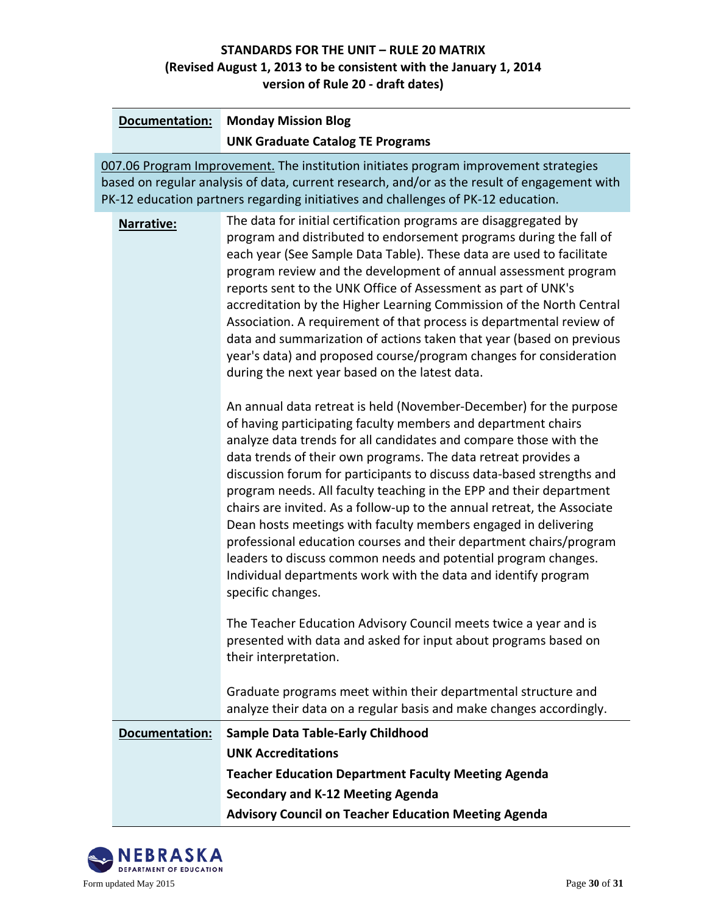| Documentation:                                                                                                                                                                                                                                                            | <b>Monday Mission Blog</b>                                                                                                                                                                                                                                                                                                                                                                                                                                                                                                                                                                                                                                                                                                                                                                                                                                                                                                                                                                                                                                |  |
|---------------------------------------------------------------------------------------------------------------------------------------------------------------------------------------------------------------------------------------------------------------------------|-----------------------------------------------------------------------------------------------------------------------------------------------------------------------------------------------------------------------------------------------------------------------------------------------------------------------------------------------------------------------------------------------------------------------------------------------------------------------------------------------------------------------------------------------------------------------------------------------------------------------------------------------------------------------------------------------------------------------------------------------------------------------------------------------------------------------------------------------------------------------------------------------------------------------------------------------------------------------------------------------------------------------------------------------------------|--|
|                                                                                                                                                                                                                                                                           | <b>UNK Graduate Catalog TE Programs</b>                                                                                                                                                                                                                                                                                                                                                                                                                                                                                                                                                                                                                                                                                                                                                                                                                                                                                                                                                                                                                   |  |
| 007.06 Program Improvement. The institution initiates program improvement strategies<br>based on regular analysis of data, current research, and/or as the result of engagement with<br>PK-12 education partners regarding initiatives and challenges of PK-12 education. |                                                                                                                                                                                                                                                                                                                                                                                                                                                                                                                                                                                                                                                                                                                                                                                                                                                                                                                                                                                                                                                           |  |
| Narrative:                                                                                                                                                                                                                                                                | The data for initial certification programs are disaggregated by<br>program and distributed to endorsement programs during the fall of<br>each year (See Sample Data Table). These data are used to facilitate<br>program review and the development of annual assessment program<br>reports sent to the UNK Office of Assessment as part of UNK's<br>accreditation by the Higher Learning Commission of the North Central<br>Association. A requirement of that process is departmental review of<br>data and summarization of actions taken that year (based on previous<br>year's data) and proposed course/program changes for consideration<br>during the next year based on the latest data.<br>An annual data retreat is held (November-December) for the purpose<br>of having participating faculty members and department chairs<br>analyze data trends for all candidates and compare those with the<br>data trends of their own programs. The data retreat provides a<br>discussion forum for participants to discuss data-based strengths and |  |
|                                                                                                                                                                                                                                                                           | program needs. All faculty teaching in the EPP and their department<br>chairs are invited. As a follow-up to the annual retreat, the Associate<br>Dean hosts meetings with faculty members engaged in delivering<br>professional education courses and their department chairs/program<br>leaders to discuss common needs and potential program changes.<br>Individual departments work with the data and identify program<br>specific changes.                                                                                                                                                                                                                                                                                                                                                                                                                                                                                                                                                                                                           |  |
|                                                                                                                                                                                                                                                                           | The Teacher Education Advisory Council meets twice a year and is<br>presented with data and asked for input about programs based on<br>their interpretation.                                                                                                                                                                                                                                                                                                                                                                                                                                                                                                                                                                                                                                                                                                                                                                                                                                                                                              |  |
|                                                                                                                                                                                                                                                                           | Graduate programs meet within their departmental structure and<br>analyze their data on a regular basis and make changes accordingly.                                                                                                                                                                                                                                                                                                                                                                                                                                                                                                                                                                                                                                                                                                                                                                                                                                                                                                                     |  |
| Documentation:                                                                                                                                                                                                                                                            | <b>Sample Data Table-Early Childhood</b>                                                                                                                                                                                                                                                                                                                                                                                                                                                                                                                                                                                                                                                                                                                                                                                                                                                                                                                                                                                                                  |  |
|                                                                                                                                                                                                                                                                           | <b>UNK Accreditations</b>                                                                                                                                                                                                                                                                                                                                                                                                                                                                                                                                                                                                                                                                                                                                                                                                                                                                                                                                                                                                                                 |  |
|                                                                                                                                                                                                                                                                           | <b>Teacher Education Department Faculty Meeting Agenda</b>                                                                                                                                                                                                                                                                                                                                                                                                                                                                                                                                                                                                                                                                                                                                                                                                                                                                                                                                                                                                |  |
|                                                                                                                                                                                                                                                                           | <b>Secondary and K-12 Meeting Agenda</b>                                                                                                                                                                                                                                                                                                                                                                                                                                                                                                                                                                                                                                                                                                                                                                                                                                                                                                                                                                                                                  |  |
|                                                                                                                                                                                                                                                                           | <b>Advisory Council on Teacher Education Meeting Agenda</b>                                                                                                                                                                                                                                                                                                                                                                                                                                                                                                                                                                                                                                                                                                                                                                                                                                                                                                                                                                                               |  |